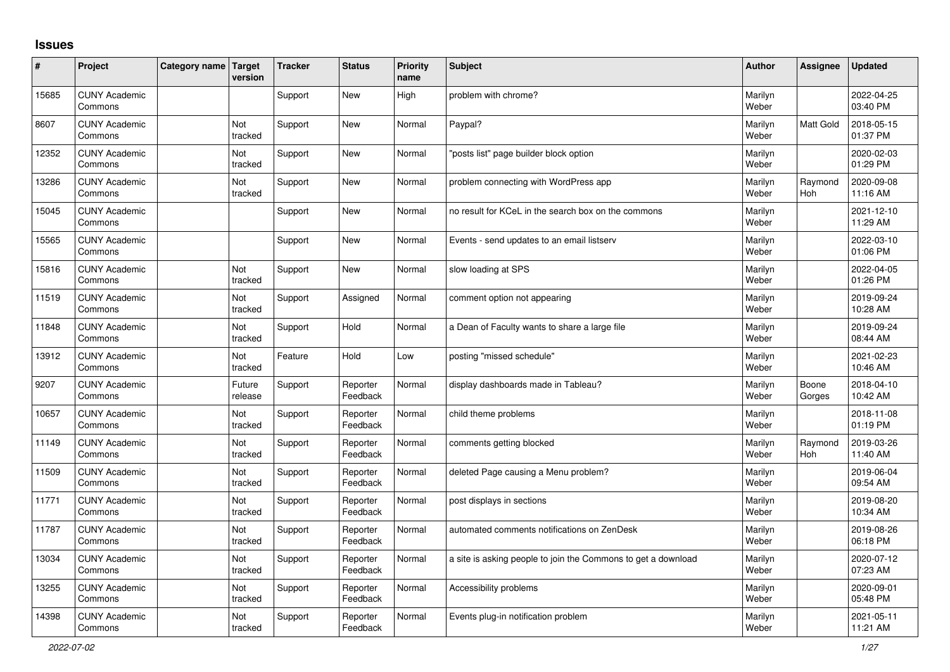## **Issues**

| ∦     | Project                         | Category name Target | version           | <b>Tracker</b> | <b>Status</b>        | <b>Priority</b><br>name | <b>Subject</b>                                                | <b>Author</b>    | Assignee              | <b>Updated</b>         |
|-------|---------------------------------|----------------------|-------------------|----------------|----------------------|-------------------------|---------------------------------------------------------------|------------------|-----------------------|------------------------|
| 15685 | <b>CUNY Academic</b><br>Commons |                      |                   | Support        | <b>New</b>           | High                    | problem with chrome?                                          | Marilyn<br>Weber |                       | 2022-04-25<br>03:40 PM |
| 8607  | <b>CUNY Academic</b><br>Commons |                      | Not<br>tracked    | Support        | <b>New</b>           | Normal                  | Paypal?                                                       | Marilyn<br>Weber | Matt Gold             | 2018-05-15<br>01:37 PM |
| 12352 | <b>CUNY Academic</b><br>Commons |                      | Not<br>tracked    | Support        | <b>New</b>           | Normal                  | posts list" page builder block option                         | Marilyn<br>Weber |                       | 2020-02-03<br>01:29 PM |
| 13286 | <b>CUNY Academic</b><br>Commons |                      | Not<br>tracked    | Support        | New                  | Normal                  | problem connecting with WordPress app                         | Marilyn<br>Weber | Raymond<br>Hoh        | 2020-09-08<br>11:16 AM |
| 15045 | <b>CUNY Academic</b><br>Commons |                      |                   | Support        | <b>New</b>           | Normal                  | no result for KCeL in the search box on the commons           | Marilyn<br>Weber |                       | 2021-12-10<br>11:29 AM |
| 15565 | <b>CUNY Academic</b><br>Commons |                      |                   | Support        | <b>New</b>           | Normal                  | Events - send updates to an email listserv                    | Marilyn<br>Weber |                       | 2022-03-10<br>01:06 PM |
| 15816 | <b>CUNY Academic</b><br>Commons |                      | Not<br>tracked    | Support        | <b>New</b>           | Normal                  | slow loading at SPS                                           | Marilyn<br>Weber |                       | 2022-04-05<br>01:26 PM |
| 11519 | <b>CUNY Academic</b><br>Commons |                      | Not<br>tracked    | Support        | Assigned             | Normal                  | comment option not appearing                                  | Marilyn<br>Weber |                       | 2019-09-24<br>10:28 AM |
| 11848 | <b>CUNY Academic</b><br>Commons |                      | Not<br>tracked    | Support        | Hold                 | Normal                  | a Dean of Faculty wants to share a large file                 | Marilyn<br>Weber |                       | 2019-09-24<br>08:44 AM |
| 13912 | <b>CUNY Academic</b><br>Commons |                      | Not<br>tracked    | Feature        | Hold                 | Low                     | posting "missed schedule"                                     | Marilyn<br>Weber |                       | 2021-02-23<br>10:46 AM |
| 9207  | <b>CUNY Academic</b><br>Commons |                      | Future<br>release | Support        | Reporter<br>Feedback | Normal                  | display dashboards made in Tableau?                           | Marilyn<br>Weber | Boone<br>Gorges       | 2018-04-10<br>10:42 AM |
| 10657 | <b>CUNY Academic</b><br>Commons |                      | Not<br>tracked    | Support        | Reporter<br>Feedback | Normal                  | child theme problems                                          | Marilyn<br>Weber |                       | 2018-11-08<br>01:19 PM |
| 11149 | <b>CUNY Academic</b><br>Commons |                      | Not<br>tracked    | Support        | Reporter<br>Feedback | Normal                  | comments getting blocked                                      | Marilyn<br>Weber | Raymond<br><b>Hoh</b> | 2019-03-26<br>11:40 AM |
| 11509 | <b>CUNY Academic</b><br>Commons |                      | Not<br>tracked    | Support        | Reporter<br>Feedback | Normal                  | deleted Page causing a Menu problem?                          | Marilyn<br>Weber |                       | 2019-06-04<br>09:54 AM |
| 11771 | <b>CUNY Academic</b><br>Commons |                      | Not<br>tracked    | Support        | Reporter<br>Feedback | Normal                  | post displays in sections                                     | Marilyn<br>Weber |                       | 2019-08-20<br>10:34 AM |
| 11787 | <b>CUNY Academic</b><br>Commons |                      | Not<br>tracked    | Support        | Reporter<br>Feedback | Normal                  | automated comments notifications on ZenDesk                   | Marilyn<br>Weber |                       | 2019-08-26<br>06:18 PM |
| 13034 | <b>CUNY Academic</b><br>Commons |                      | Not<br>tracked    | Support        | Reporter<br>Feedback | Normal                  | a site is asking people to join the Commons to get a download | Marilyn<br>Weber |                       | 2020-07-12<br>07:23 AM |
| 13255 | <b>CUNY Academic</b><br>Commons |                      | Not<br>tracked    | Support        | Reporter<br>Feedback | Normal                  | Accessibility problems                                        | Marilyn<br>Weber |                       | 2020-09-01<br>05:48 PM |
| 14398 | <b>CUNY Academic</b><br>Commons |                      | Not<br>tracked    | Support        | Reporter<br>Feedback | Normal                  | Events plug-in notification problem                           | Marilyn<br>Weber |                       | 2021-05-11<br>11:21 AM |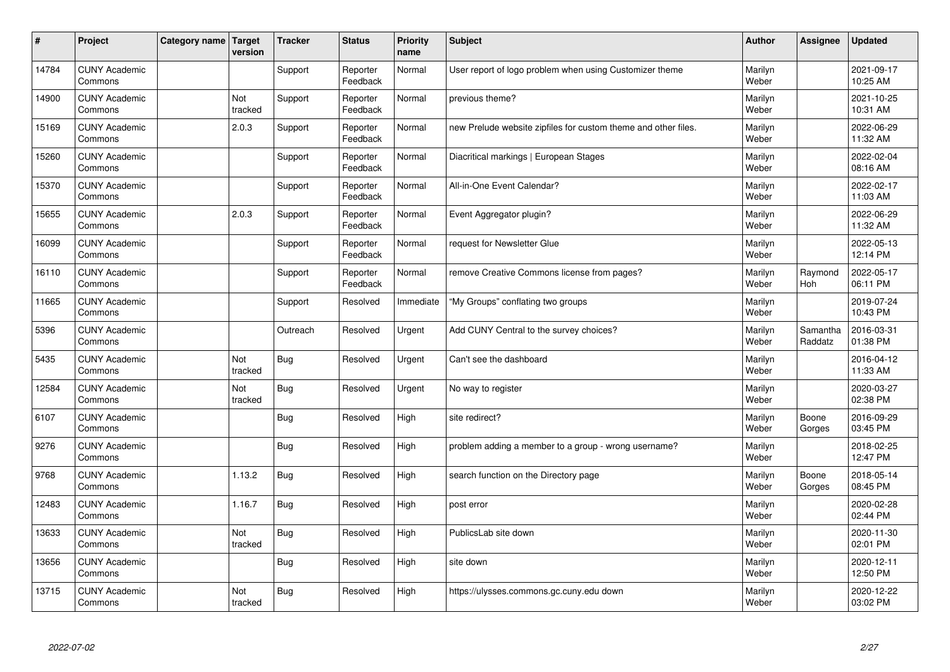| $\vert$ # | Project                         | Category name   Target | version        | <b>Tracker</b> | <b>Status</b>        | <b>Priority</b><br>name | <b>Subject</b>                                                 | <b>Author</b>    | Assignee            | <b>Updated</b>         |
|-----------|---------------------------------|------------------------|----------------|----------------|----------------------|-------------------------|----------------------------------------------------------------|------------------|---------------------|------------------------|
| 14784     | <b>CUNY Academic</b><br>Commons |                        |                | Support        | Reporter<br>Feedback | Normal                  | User report of logo problem when using Customizer theme        | Marilyn<br>Weber |                     | 2021-09-17<br>10:25 AM |
| 14900     | <b>CUNY Academic</b><br>Commons |                        | Not<br>tracked | Support        | Reporter<br>Feedback | Normal                  | previous theme?                                                | Marilyn<br>Weber |                     | 2021-10-25<br>10:31 AM |
| 15169     | <b>CUNY Academic</b><br>Commons |                        | 2.0.3          | Support        | Reporter<br>Feedback | Normal                  | new Prelude website zipfiles for custom theme and other files. | Marilyn<br>Weber |                     | 2022-06-29<br>11:32 AM |
| 15260     | <b>CUNY Academic</b><br>Commons |                        |                | Support        | Reporter<br>Feedback | Normal                  | Diacritical markings   European Stages                         | Marilyn<br>Weber |                     | 2022-02-04<br>08:16 AM |
| 15370     | <b>CUNY Academic</b><br>Commons |                        |                | Support        | Reporter<br>Feedback | Normal                  | All-in-One Event Calendar?                                     | Marilyn<br>Weber |                     | 2022-02-17<br>11:03 AM |
| 15655     | <b>CUNY Academic</b><br>Commons |                        | 2.0.3          | Support        | Reporter<br>Feedback | Normal                  | Event Aggregator plugin?                                       | Marilyn<br>Weber |                     | 2022-06-29<br>11:32 AM |
| 16099     | <b>CUNY Academic</b><br>Commons |                        |                | Support        | Reporter<br>Feedback | Normal                  | request for Newsletter Glue                                    | Marilyn<br>Weber |                     | 2022-05-13<br>12:14 PM |
| 16110     | <b>CUNY Academic</b><br>Commons |                        |                | Support        | Reporter<br>Feedback | Normal                  | remove Creative Commons license from pages?                    | Marilyn<br>Weber | Raymond<br>Hoh      | 2022-05-17<br>06:11 PM |
| 11665     | <b>CUNY Academic</b><br>Commons |                        |                | Support        | Resolved             | Immediate               | "My Groups" conflating two groups                              | Marilyn<br>Weber |                     | 2019-07-24<br>10:43 PM |
| 5396      | <b>CUNY Academic</b><br>Commons |                        |                | Outreach       | Resolved             | Urgent                  | Add CUNY Central to the survey choices?                        | Marilyn<br>Weber | Samantha<br>Raddatz | 2016-03-31<br>01:38 PM |
| 5435      | <b>CUNY Academic</b><br>Commons |                        | Not<br>tracked | <b>Bug</b>     | Resolved             | Urgent                  | Can't see the dashboard                                        | Marilyn<br>Weber |                     | 2016-04-12<br>11:33 AM |
| 12584     | <b>CUNY Academic</b><br>Commons |                        | Not<br>tracked | <b>Bug</b>     | Resolved             | Urgent                  | No way to register                                             | Marilyn<br>Weber |                     | 2020-03-27<br>02:38 PM |
| 6107      | <b>CUNY Academic</b><br>Commons |                        |                | <b>Bug</b>     | Resolved             | High                    | site redirect?                                                 | Marilyn<br>Weber | Boone<br>Gorges     | 2016-09-29<br>03:45 PM |
| 9276      | <b>CUNY Academic</b><br>Commons |                        |                | Bug            | Resolved             | High                    | problem adding a member to a group - wrong username?           | Marilyn<br>Weber |                     | 2018-02-25<br>12:47 PM |
| 9768      | <b>CUNY Academic</b><br>Commons |                        | 1.13.2         | <b>Bug</b>     | Resolved             | High                    | search function on the Directory page                          | Marilyn<br>Weber | Boone<br>Gorges     | 2018-05-14<br>08:45 PM |
| 12483     | <b>CUNY Academic</b><br>Commons |                        | 1.16.7         | <b>Bug</b>     | Resolved             | High                    | post error                                                     | Marilyn<br>Weber |                     | 2020-02-28<br>02:44 PM |
| 13633     | <b>CUNY Academic</b><br>Commons |                        | Not<br>tracked | <b>Bug</b>     | Resolved             | High                    | PublicsLab site down                                           | Marilyn<br>Weber |                     | 2020-11-30<br>02:01 PM |
| 13656     | <b>CUNY Academic</b><br>Commons |                        |                | <b>Bug</b>     | Resolved             | High                    | site down                                                      | Marilyn<br>Weber |                     | 2020-12-11<br>12:50 PM |
| 13715     | <b>CUNY Academic</b><br>Commons |                        | Not<br>tracked | Bug            | Resolved             | High                    | https://ulysses.commons.gc.cuny.edu down                       | Marilyn<br>Weber |                     | 2020-12-22<br>03:02 PM |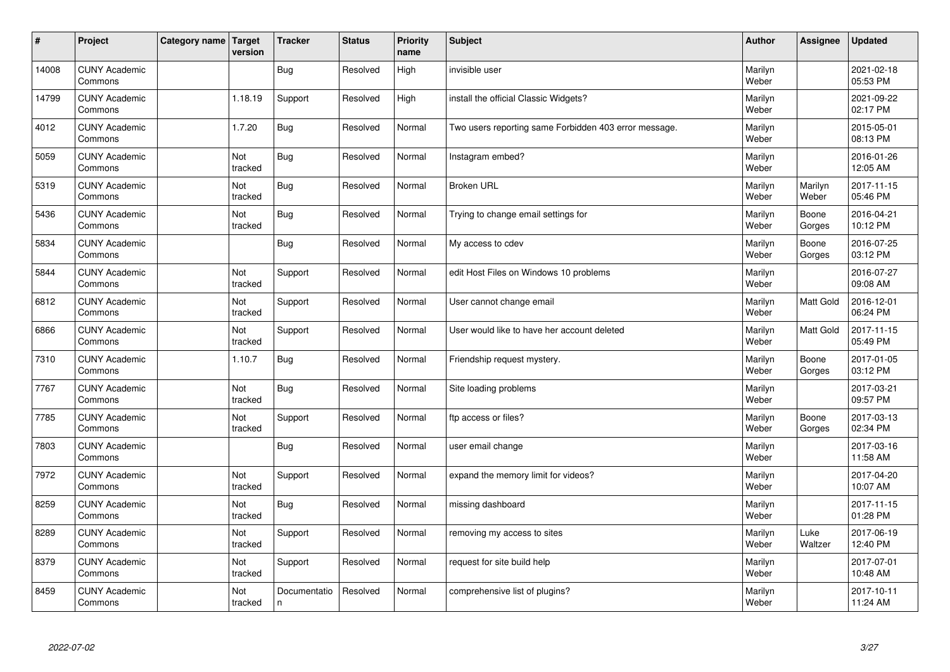| $\sharp$ | Project                         | Category name   Target | version        | <b>Tracker</b>    | <b>Status</b> | <b>Priority</b><br>name | <b>Subject</b>                                        | <b>Author</b>    | <b>Assignee</b>  | <b>Updated</b>         |
|----------|---------------------------------|------------------------|----------------|-------------------|---------------|-------------------------|-------------------------------------------------------|------------------|------------------|------------------------|
| 14008    | <b>CUNY Academic</b><br>Commons |                        |                | Bug               | Resolved      | High                    | invisible user                                        | Marilyn<br>Weber |                  | 2021-02-18<br>05:53 PM |
| 14799    | <b>CUNY Academic</b><br>Commons |                        | 1.18.19        | Support           | Resolved      | High                    | install the official Classic Widgets?                 | Marilyn<br>Weber |                  | 2021-09-22<br>02:17 PM |
| 4012     | <b>CUNY Academic</b><br>Commons |                        | 1.7.20         | Bug               | Resolved      | Normal                  | Two users reporting same Forbidden 403 error message. | Marilyn<br>Weber |                  | 2015-05-01<br>08:13 PM |
| 5059     | <b>CUNY Academic</b><br>Commons |                        | Not<br>tracked | <b>Bug</b>        | Resolved      | Normal                  | Instagram embed?                                      | Marilyn<br>Weber |                  | 2016-01-26<br>12:05 AM |
| 5319     | <b>CUNY Academic</b><br>Commons |                        | Not<br>tracked | Bug               | Resolved      | Normal                  | <b>Broken URL</b>                                     | Marilyn<br>Weber | Marilyn<br>Weber | 2017-11-15<br>05:46 PM |
| 5436     | <b>CUNY Academic</b><br>Commons |                        | Not<br>tracked | Bug               | Resolved      | Normal                  | Trying to change email settings for                   | Marilyn<br>Weber | Boone<br>Gorges  | 2016-04-21<br>10:12 PM |
| 5834     | <b>CUNY Academic</b><br>Commons |                        |                | Bug               | Resolved      | Normal                  | My access to cdev                                     | Marilyn<br>Weber | Boone<br>Gorges  | 2016-07-25<br>03:12 PM |
| 5844     | <b>CUNY Academic</b><br>Commons |                        | Not<br>tracked | Support           | Resolved      | Normal                  | edit Host Files on Windows 10 problems                | Marilyn<br>Weber |                  | 2016-07-27<br>09:08 AM |
| 6812     | <b>CUNY Academic</b><br>Commons |                        | Not<br>tracked | Support           | Resolved      | Normal                  | User cannot change email                              | Marilyn<br>Weber | <b>Matt Gold</b> | 2016-12-01<br>06:24 PM |
| 6866     | <b>CUNY Academic</b><br>Commons |                        | Not<br>tracked | Support           | Resolved      | Normal                  | User would like to have her account deleted           | Marilyn<br>Weber | <b>Matt Gold</b> | 2017-11-15<br>05:49 PM |
| 7310     | <b>CUNY Academic</b><br>Commons |                        | 1.10.7         | Bug               | Resolved      | Normal                  | Friendship request mystery.                           | Marilyn<br>Weber | Boone<br>Gorges  | 2017-01-05<br>03:12 PM |
| 7767     | <b>CUNY Academic</b><br>Commons |                        | Not<br>tracked | Bug               | Resolved      | Normal                  | Site loading problems                                 | Marilyn<br>Weber |                  | 2017-03-21<br>09:57 PM |
| 7785     | <b>CUNY Academic</b><br>Commons |                        | Not<br>tracked | Support           | Resolved      | Normal                  | ftp access or files?                                  | Marilyn<br>Weber | Boone<br>Gorges  | 2017-03-13<br>02:34 PM |
| 7803     | <b>CUNY Academic</b><br>Commons |                        |                | <b>Bug</b>        | Resolved      | Normal                  | user email change                                     | Marilyn<br>Weber |                  | 2017-03-16<br>11:58 AM |
| 7972     | <b>CUNY Academic</b><br>Commons |                        | Not<br>tracked | Support           | Resolved      | Normal                  | expand the memory limit for videos?                   | Marilyn<br>Weber |                  | 2017-04-20<br>10:07 AM |
| 8259     | <b>CUNY Academic</b><br>Commons |                        | Not<br>tracked | Bug               | Resolved      | Normal                  | missing dashboard                                     | Marilyn<br>Weber |                  | 2017-11-15<br>01:28 PM |
| 8289     | <b>CUNY Academic</b><br>Commons |                        | Not<br>tracked | Support           | Resolved      | Normal                  | removing my access to sites                           | Marilyn<br>Weber | Luke<br>Waltzer  | 2017-06-19<br>12:40 PM |
| 8379     | <b>CUNY Academic</b><br>Commons |                        | Not<br>tracked | Support           | Resolved      | Normal                  | request for site build help                           | Marilyn<br>Weber |                  | 2017-07-01<br>10:48 AM |
| 8459     | <b>CUNY Academic</b><br>Commons |                        | Not<br>tracked | Documentatio<br>n | Resolved      | Normal                  | comprehensive list of plugins?                        | Marilyn<br>Weber |                  | 2017-10-11<br>11:24 AM |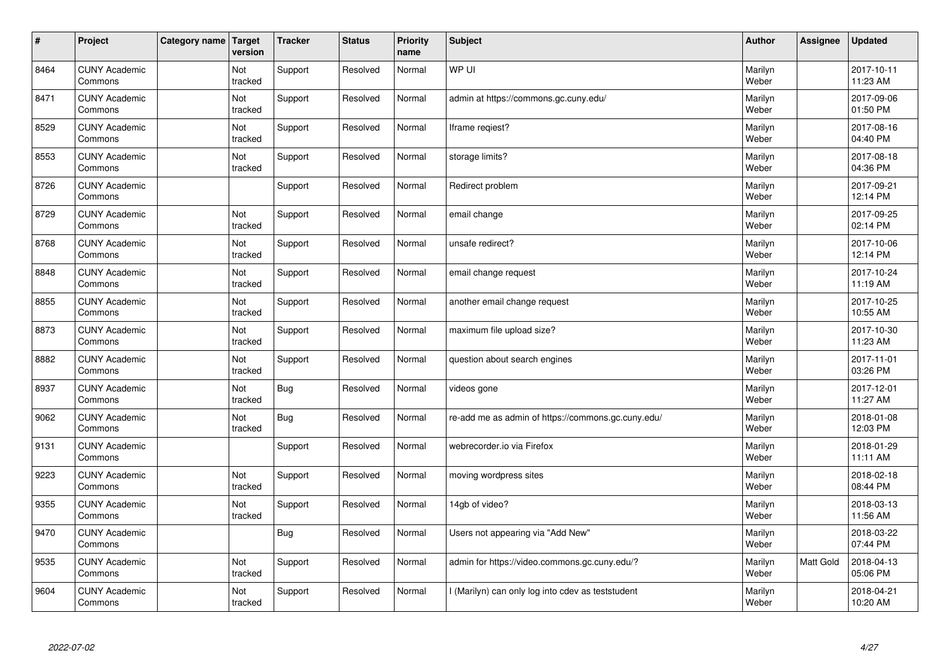| $\vert$ # | Project                         | <b>Category name</b> | Target<br>version | <b>Tracker</b> | <b>Status</b> | <b>Priority</b><br>name | <b>Subject</b>                                     | <b>Author</b>    | Assignee  | <b>Updated</b>         |
|-----------|---------------------------------|----------------------|-------------------|----------------|---------------|-------------------------|----------------------------------------------------|------------------|-----------|------------------------|
| 8464      | <b>CUNY Academic</b><br>Commons |                      | Not<br>tracked    | Support        | Resolved      | Normal                  | WP UI                                              | Marilyn<br>Weber |           | 2017-10-11<br>11:23 AM |
| 8471      | <b>CUNY Academic</b><br>Commons |                      | Not<br>tracked    | Support        | Resolved      | Normal                  | admin at https://commons.gc.cuny.edu/              | Marilyn<br>Weber |           | 2017-09-06<br>01:50 PM |
| 8529      | <b>CUNY Academic</b><br>Commons |                      | Not<br>tracked    | Support        | Resolved      | Normal                  | Iframe regiest?                                    | Marilyn<br>Weber |           | 2017-08-16<br>04:40 PM |
| 8553      | <b>CUNY Academic</b><br>Commons |                      | Not<br>tracked    | Support        | Resolved      | Normal                  | storage limits?                                    | Marilyn<br>Weber |           | 2017-08-18<br>04:36 PM |
| 8726      | <b>CUNY Academic</b><br>Commons |                      |                   | Support        | Resolved      | Normal                  | Redirect problem                                   | Marilyn<br>Weber |           | 2017-09-21<br>12:14 PM |
| 8729      | <b>CUNY Academic</b><br>Commons |                      | Not<br>tracked    | Support        | Resolved      | Normal                  | email change                                       | Marilyn<br>Weber |           | 2017-09-25<br>02:14 PM |
| 8768      | <b>CUNY Academic</b><br>Commons |                      | Not<br>tracked    | Support        | Resolved      | Normal                  | unsafe redirect?                                   | Marilyn<br>Weber |           | 2017-10-06<br>12:14 PM |
| 8848      | <b>CUNY Academic</b><br>Commons |                      | Not<br>tracked    | Support        | Resolved      | Normal                  | email change request                               | Marilyn<br>Weber |           | 2017-10-24<br>11:19 AM |
| 8855      | <b>CUNY Academic</b><br>Commons |                      | Not<br>tracked    | Support        | Resolved      | Normal                  | another email change request                       | Marilyn<br>Weber |           | 2017-10-25<br>10:55 AM |
| 8873      | <b>CUNY Academic</b><br>Commons |                      | Not<br>tracked    | Support        | Resolved      | Normal                  | maximum file upload size?                          | Marilyn<br>Weber |           | 2017-10-30<br>11:23 AM |
| 8882      | <b>CUNY Academic</b><br>Commons |                      | Not<br>tracked    | Support        | Resolved      | Normal                  | question about search engines                      | Marilyn<br>Weber |           | 2017-11-01<br>03:26 PM |
| 8937      | <b>CUNY Academic</b><br>Commons |                      | Not<br>tracked    | <b>Bug</b>     | Resolved      | Normal                  | videos gone                                        | Marilyn<br>Weber |           | 2017-12-01<br>11:27 AM |
| 9062      | <b>CUNY Academic</b><br>Commons |                      | Not<br>tracked    | Bug            | Resolved      | Normal                  | re-add me as admin of https://commons.gc.cuny.edu/ | Marilyn<br>Weber |           | 2018-01-08<br>12:03 PM |
| 9131      | <b>CUNY Academic</b><br>Commons |                      |                   | Support        | Resolved      | Normal                  | webrecorder.io via Firefox                         | Marilyn<br>Weber |           | 2018-01-29<br>11:11 AM |
| 9223      | <b>CUNY Academic</b><br>Commons |                      | Not<br>tracked    | Support        | Resolved      | Normal                  | moving wordpress sites                             | Marilyn<br>Weber |           | 2018-02-18<br>08:44 PM |
| 9355      | <b>CUNY Academic</b><br>Commons |                      | Not<br>tracked    | Support        | Resolved      | Normal                  | 14gb of video?                                     | Marilyn<br>Weber |           | 2018-03-13<br>11:56 AM |
| 9470      | <b>CUNY Academic</b><br>Commons |                      |                   | Bug            | Resolved      | Normal                  | Users not appearing via "Add New"                  | Marilyn<br>Weber |           | 2018-03-22<br>07:44 PM |
| 9535      | <b>CUNY Academic</b><br>Commons |                      | Not<br>tracked    | Support        | Resolved      | Normal                  | admin for https://video.commons.gc.cuny.edu/?      | Marilyn<br>Weber | Matt Gold | 2018-04-13<br>05:06 PM |
| 9604      | <b>CUNY Academic</b><br>Commons |                      | Not<br>tracked    | Support        | Resolved      | Normal                  | (Marilyn) can only log into cdev as teststudent    | Marilyn<br>Weber |           | 2018-04-21<br>10:20 AM |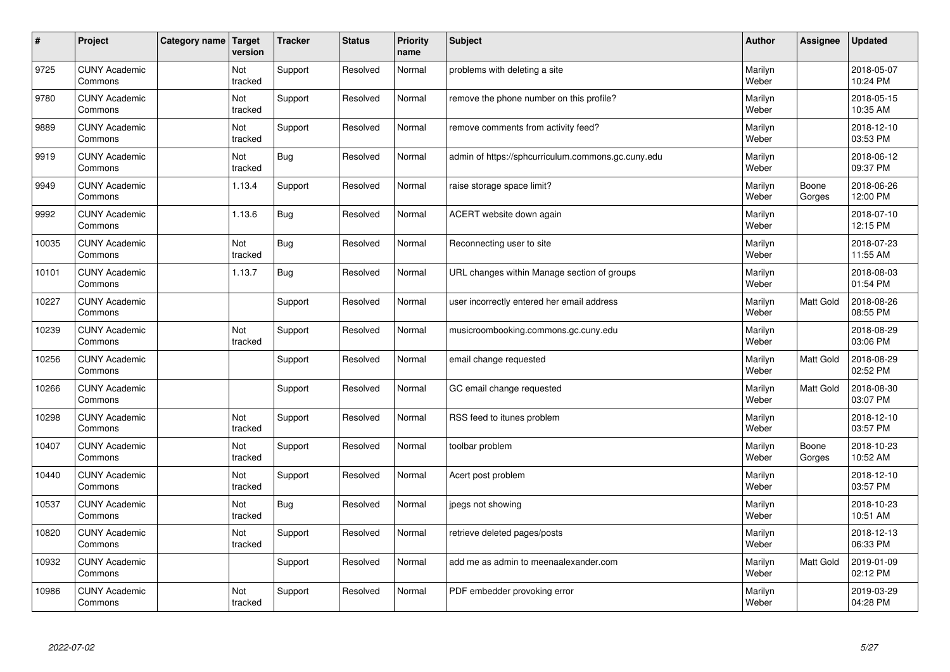| $\vert$ # | Project                         | Category name | Target<br>version | <b>Tracker</b> | <b>Status</b> | <b>Priority</b><br>name | <b>Subject</b>                                     | <b>Author</b>    | Assignee         | <b>Updated</b>         |
|-----------|---------------------------------|---------------|-------------------|----------------|---------------|-------------------------|----------------------------------------------------|------------------|------------------|------------------------|
| 9725      | <b>CUNY Academic</b><br>Commons |               | Not<br>tracked    | Support        | Resolved      | Normal                  | problems with deleting a site                      | Marilyn<br>Weber |                  | 2018-05-07<br>10:24 PM |
| 9780      | <b>CUNY Academic</b><br>Commons |               | Not<br>tracked    | Support        | Resolved      | Normal                  | remove the phone number on this profile?           | Marilyn<br>Weber |                  | 2018-05-15<br>10:35 AM |
| 9889      | <b>CUNY Academic</b><br>Commons |               | Not<br>tracked    | Support        | Resolved      | Normal                  | remove comments from activity feed?                | Marilyn<br>Weber |                  | 2018-12-10<br>03:53 PM |
| 9919      | <b>CUNY Academic</b><br>Commons |               | Not<br>tracked    | Bug            | Resolved      | Normal                  | admin of https://sphcurriculum.commons.gc.cuny.edu | Marilyn<br>Weber |                  | 2018-06-12<br>09:37 PM |
| 9949      | <b>CUNY Academic</b><br>Commons |               | 1.13.4            | Support        | Resolved      | Normal                  | raise storage space limit?                         | Marilyn<br>Weber | Boone<br>Gorges  | 2018-06-26<br>12:00 PM |
| 9992      | <b>CUNY Academic</b><br>Commons |               | 1.13.6            | Bug            | Resolved      | Normal                  | ACERT website down again                           | Marilyn<br>Weber |                  | 2018-07-10<br>12:15 PM |
| 10035     | <b>CUNY Academic</b><br>Commons |               | Not<br>tracked    | Bug            | Resolved      | Normal                  | Reconnecting user to site                          | Marilyn<br>Weber |                  | 2018-07-23<br>11:55 AM |
| 10101     | <b>CUNY Academic</b><br>Commons |               | 1.13.7            | Bug            | Resolved      | Normal                  | URL changes within Manage section of groups        | Marilyn<br>Weber |                  | 2018-08-03<br>01:54 PM |
| 10227     | <b>CUNY Academic</b><br>Commons |               |                   | Support        | Resolved      | Normal                  | user incorrectly entered her email address         | Marilyn<br>Weber | <b>Matt Gold</b> | 2018-08-26<br>08:55 PM |
| 10239     | <b>CUNY Academic</b><br>Commons |               | Not<br>tracked    | Support        | Resolved      | Normal                  | musicroombooking.commons.gc.cuny.edu               | Marilyn<br>Weber |                  | 2018-08-29<br>03:06 PM |
| 10256     | <b>CUNY Academic</b><br>Commons |               |                   | Support        | Resolved      | Normal                  | email change requested                             | Marilyn<br>Weber | Matt Gold        | 2018-08-29<br>02:52 PM |
| 10266     | <b>CUNY Academic</b><br>Commons |               |                   | Support        | Resolved      | Normal                  | GC email change requested                          | Marilyn<br>Weber | Matt Gold        | 2018-08-30<br>03:07 PM |
| 10298     | <b>CUNY Academic</b><br>Commons |               | Not<br>tracked    | Support        | Resolved      | Normal                  | RSS feed to itunes problem                         | Marilyn<br>Weber |                  | 2018-12-10<br>03:57 PM |
| 10407     | <b>CUNY Academic</b><br>Commons |               | Not<br>tracked    | Support        | Resolved      | Normal                  | toolbar problem                                    | Marilyn<br>Weber | Boone<br>Gorges  | 2018-10-23<br>10:52 AM |
| 10440     | <b>CUNY Academic</b><br>Commons |               | Not<br>tracked    | Support        | Resolved      | Normal                  | Acert post problem                                 | Marilyn<br>Weber |                  | 2018-12-10<br>03:57 PM |
| 10537     | <b>CUNY Academic</b><br>Commons |               | Not<br>tracked    | Bug            | Resolved      | Normal                  | jpegs not showing                                  | Marilyn<br>Weber |                  | 2018-10-23<br>10:51 AM |
| 10820     | <b>CUNY Academic</b><br>Commons |               | Not<br>tracked    | Support        | Resolved      | Normal                  | retrieve deleted pages/posts                       | Marilyn<br>Weber |                  | 2018-12-13<br>06:33 PM |
| 10932     | <b>CUNY Academic</b><br>Commons |               |                   | Support        | Resolved      | Normal                  | add me as admin to meenaalexander.com              | Marilyn<br>Weber | Matt Gold        | 2019-01-09<br>02:12 PM |
| 10986     | <b>CUNY Academic</b><br>Commons |               | Not<br>tracked    | Support        | Resolved      | Normal                  | PDF embedder provoking error                       | Marilyn<br>Weber |                  | 2019-03-29<br>04:28 PM |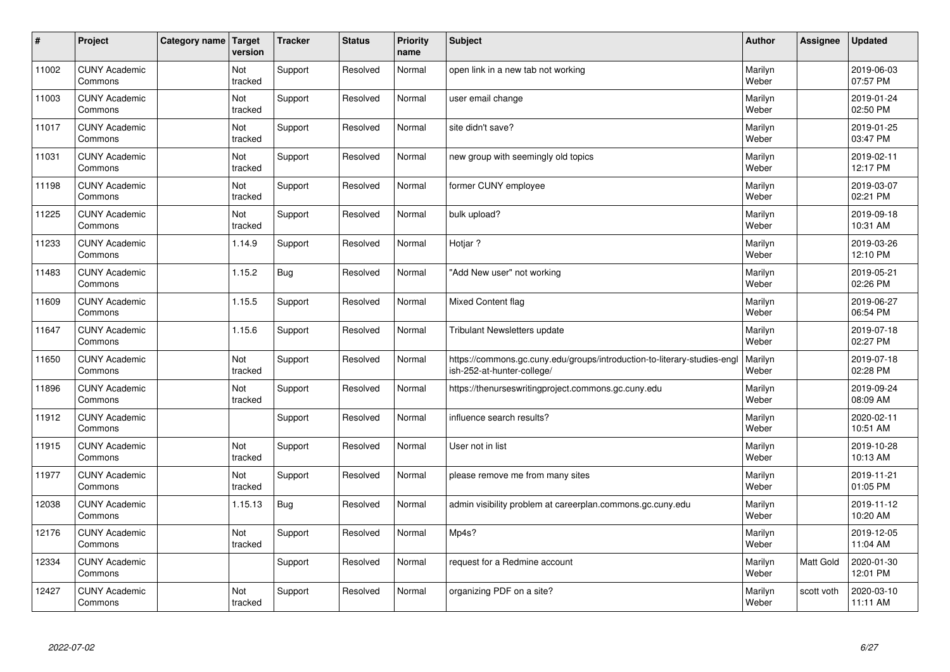| $\sharp$ | Project                         | Category name | Target<br>version | <b>Tracker</b> | <b>Status</b> | <b>Priority</b><br>name | <b>Subject</b>                                                                                         | <b>Author</b>    | Assignee   | <b>Updated</b>         |
|----------|---------------------------------|---------------|-------------------|----------------|---------------|-------------------------|--------------------------------------------------------------------------------------------------------|------------------|------------|------------------------|
| 11002    | <b>CUNY Academic</b><br>Commons |               | Not<br>tracked    | Support        | Resolved      | Normal                  | open link in a new tab not working                                                                     | Marilyn<br>Weber |            | 2019-06-03<br>07:57 PM |
| 11003    | <b>CUNY Academic</b><br>Commons |               | Not<br>tracked    | Support        | Resolved      | Normal                  | user email change                                                                                      | Marilyn<br>Weber |            | 2019-01-24<br>02:50 PM |
| 11017    | <b>CUNY Academic</b><br>Commons |               | Not<br>tracked    | Support        | Resolved      | Normal                  | site didn't save?                                                                                      | Marilyn<br>Weber |            | 2019-01-25<br>03:47 PM |
| 11031    | <b>CUNY Academic</b><br>Commons |               | Not<br>tracked    | Support        | Resolved      | Normal                  | new group with seemingly old topics                                                                    | Marilyn<br>Weber |            | 2019-02-11<br>12:17 PM |
| 11198    | <b>CUNY Academic</b><br>Commons |               | Not<br>tracked    | Support        | Resolved      | Normal                  | former CUNY employee                                                                                   | Marilyn<br>Weber |            | 2019-03-07<br>02:21 PM |
| 11225    | <b>CUNY Academic</b><br>Commons |               | Not<br>tracked    | Support        | Resolved      | Normal                  | bulk upload?                                                                                           | Marilyn<br>Weber |            | 2019-09-18<br>10:31 AM |
| 11233    | <b>CUNY Academic</b><br>Commons |               | 1.14.9            | Support        | Resolved      | Normal                  | Hotjar?                                                                                                | Marilyn<br>Weber |            | 2019-03-26<br>12:10 PM |
| 11483    | <b>CUNY Academic</b><br>Commons |               | 1.15.2            | Bug            | Resolved      | Normal                  | "Add New user" not working                                                                             | Marilyn<br>Weber |            | 2019-05-21<br>02:26 PM |
| 11609    | <b>CUNY Academic</b><br>Commons |               | 1.15.5            | Support        | Resolved      | Normal                  | <b>Mixed Content flag</b>                                                                              | Marilyn<br>Weber |            | 2019-06-27<br>06:54 PM |
| 11647    | <b>CUNY Academic</b><br>Commons |               | 1.15.6            | Support        | Resolved      | Normal                  | Tribulant Newsletters update                                                                           | Marilyn<br>Weber |            | 2019-07-18<br>02:27 PM |
| 11650    | <b>CUNY Academic</b><br>Commons |               | Not<br>tracked    | Support        | Resolved      | Normal                  | https://commons.gc.cuny.edu/groups/introduction-to-literary-studies-engl<br>ish-252-at-hunter-college/ | Marilyn<br>Weber |            | 2019-07-18<br>02:28 PM |
| 11896    | <b>CUNY Academic</b><br>Commons |               | Not<br>tracked    | Support        | Resolved      | Normal                  | https://thenurseswritingproject.commons.gc.cuny.edu                                                    | Marilyn<br>Weber |            | 2019-09-24<br>08:09 AM |
| 11912    | <b>CUNY Academic</b><br>Commons |               |                   | Support        | Resolved      | Normal                  | influence search results?                                                                              | Marilyn<br>Weber |            | 2020-02-11<br>10:51 AM |
| 11915    | <b>CUNY Academic</b><br>Commons |               | Not<br>tracked    | Support        | Resolved      | Normal                  | User not in list                                                                                       | Marilyn<br>Weber |            | 2019-10-28<br>10:13 AM |
| 11977    | <b>CUNY Academic</b><br>Commons |               | Not<br>tracked    | Support        | Resolved      | Normal                  | please remove me from many sites                                                                       | Marilyn<br>Weber |            | 2019-11-21<br>01:05 PM |
| 12038    | <b>CUNY Academic</b><br>Commons |               | 1.15.13           | <b>Bug</b>     | Resolved      | Normal                  | admin visibility problem at careerplan.commons.gc.cuny.edu                                             | Marilyn<br>Weber |            | 2019-11-12<br>10:20 AM |
| 12176    | <b>CUNY Academic</b><br>Commons |               | Not<br>tracked    | Support        | Resolved      | Normal                  | Mp4s?                                                                                                  | Marilyn<br>Weber |            | 2019-12-05<br>11:04 AM |
| 12334    | <b>CUNY Academic</b><br>Commons |               |                   | Support        | Resolved      | Normal                  | request for a Redmine account                                                                          | Marilyn<br>Weber | Matt Gold  | 2020-01-30<br>12:01 PM |
| 12427    | <b>CUNY Academic</b><br>Commons |               | Not<br>tracked    | Support        | Resolved      | Normal                  | organizing PDF on a site?                                                                              | Marilyn<br>Weber | scott voth | 2020-03-10<br>11:11 AM |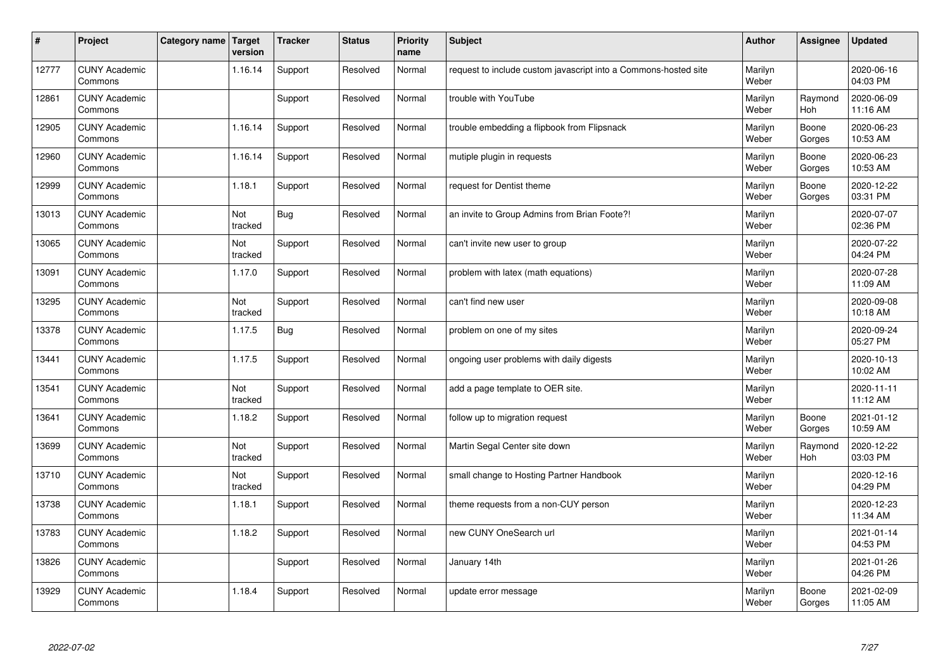| $\vert$ # | Project                         | Category name   Target | version        | <b>Tracker</b> | <b>Status</b> | <b>Priority</b><br>name | <b>Subject</b>                                                  | <b>Author</b>    | <b>Assignee</b>       | <b>Updated</b>         |
|-----------|---------------------------------|------------------------|----------------|----------------|---------------|-------------------------|-----------------------------------------------------------------|------------------|-----------------------|------------------------|
| 12777     | <b>CUNY Academic</b><br>Commons |                        | 1.16.14        | Support        | Resolved      | Normal                  | request to include custom javascript into a Commons-hosted site | Marilyn<br>Weber |                       | 2020-06-16<br>04:03 PM |
| 12861     | <b>CUNY Academic</b><br>Commons |                        |                | Support        | Resolved      | Normal                  | trouble with YouTube                                            | Marilyn<br>Weber | Raymond<br><b>Hoh</b> | 2020-06-09<br>11:16 AM |
| 12905     | <b>CUNY Academic</b><br>Commons |                        | 1.16.14        | Support        | Resolved      | Normal                  | trouble embedding a flipbook from Flipsnack                     | Marilyn<br>Weber | Boone<br>Gorges       | 2020-06-23<br>10:53 AM |
| 12960     | <b>CUNY Academic</b><br>Commons |                        | 1.16.14        | Support        | Resolved      | Normal                  | mutiple plugin in requests                                      | Marilyn<br>Weber | Boone<br>Gorges       | 2020-06-23<br>10:53 AM |
| 12999     | <b>CUNY Academic</b><br>Commons |                        | 1.18.1         | Support        | Resolved      | Normal                  | request for Dentist theme                                       | Marilyn<br>Weber | Boone<br>Gorges       | 2020-12-22<br>03:31 PM |
| 13013     | <b>CUNY Academic</b><br>Commons |                        | Not<br>tracked | <b>Bug</b>     | Resolved      | Normal                  | an invite to Group Admins from Brian Foote?!                    | Marilyn<br>Weber |                       | 2020-07-07<br>02:36 PM |
| 13065     | <b>CUNY Academic</b><br>Commons |                        | Not<br>tracked | Support        | Resolved      | Normal                  | can't invite new user to group                                  | Marilyn<br>Weber |                       | 2020-07-22<br>04:24 PM |
| 13091     | <b>CUNY Academic</b><br>Commons |                        | 1.17.0         | Support        | Resolved      | Normal                  | problem with latex (math equations)                             | Marilyn<br>Weber |                       | 2020-07-28<br>11:09 AM |
| 13295     | <b>CUNY Academic</b><br>Commons |                        | Not<br>tracked | Support        | Resolved      | Normal                  | can't find new user                                             | Marilyn<br>Weber |                       | 2020-09-08<br>10:18 AM |
| 13378     | <b>CUNY Academic</b><br>Commons |                        | 1.17.5         | Bug            | Resolved      | Normal                  | problem on one of my sites                                      | Marilyn<br>Weber |                       | 2020-09-24<br>05:27 PM |
| 13441     | <b>CUNY Academic</b><br>Commons |                        | 1.17.5         | Support        | Resolved      | Normal                  | ongoing user problems with daily digests                        | Marilyn<br>Weber |                       | 2020-10-13<br>10:02 AM |
| 13541     | <b>CUNY Academic</b><br>Commons |                        | Not<br>tracked | Support        | Resolved      | Normal                  | add a page template to OER site.                                | Marilyn<br>Weber |                       | 2020-11-11<br>11:12 AM |
| 13641     | <b>CUNY Academic</b><br>Commons |                        | 1.18.2         | Support        | Resolved      | Normal                  | follow up to migration request                                  | Marilyn<br>Weber | Boone<br>Gorges       | 2021-01-12<br>10:59 AM |
| 13699     | <b>CUNY Academic</b><br>Commons |                        | Not<br>tracked | Support        | Resolved      | Normal                  | Martin Segal Center site down                                   | Marilyn<br>Weber | Raymond<br>Hoh        | 2020-12-22<br>03:03 PM |
| 13710     | <b>CUNY Academic</b><br>Commons |                        | Not<br>tracked | Support        | Resolved      | Normal                  | small change to Hosting Partner Handbook                        | Marilyn<br>Weber |                       | 2020-12-16<br>04:29 PM |
| 13738     | <b>CUNY Academic</b><br>Commons |                        | 1.18.1         | Support        | Resolved      | Normal                  | theme requests from a non-CUY person                            | Marilyn<br>Weber |                       | 2020-12-23<br>11:34 AM |
| 13783     | <b>CUNY Academic</b><br>Commons |                        | 1.18.2         | Support        | Resolved      | Normal                  | new CUNY OneSearch url                                          | Marilyn<br>Weber |                       | 2021-01-14<br>04:53 PM |
| 13826     | <b>CUNY Academic</b><br>Commons |                        |                | Support        | Resolved      | Normal                  | January 14th                                                    | Marilyn<br>Weber |                       | 2021-01-26<br>04:26 PM |
| 13929     | <b>CUNY Academic</b><br>Commons |                        | 1.18.4         | Support        | Resolved      | Normal                  | update error message                                            | Marilyn<br>Weber | Boone<br>Gorges       | 2021-02-09<br>11:05 AM |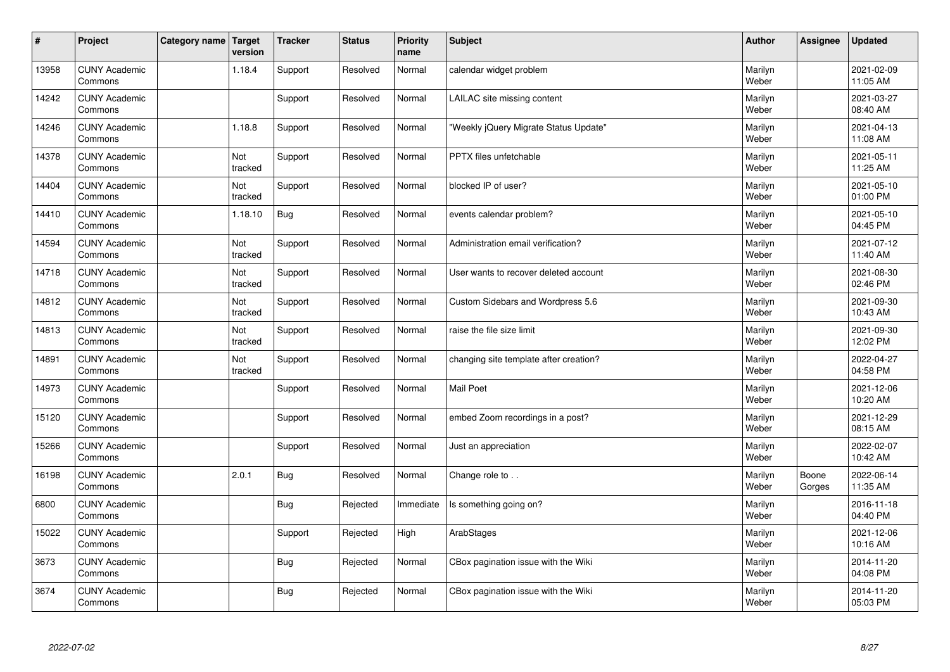| $\sharp$ | Project                         | Category name   Target | version        | <b>Tracker</b> | <b>Status</b> | <b>Priority</b><br>name | <b>Subject</b>                         | <b>Author</b>    | <b>Assignee</b> | <b>Updated</b>         |
|----------|---------------------------------|------------------------|----------------|----------------|---------------|-------------------------|----------------------------------------|------------------|-----------------|------------------------|
| 13958    | <b>CUNY Academic</b><br>Commons |                        | 1.18.4         | Support        | Resolved      | Normal                  | calendar widget problem                | Marilyn<br>Weber |                 | 2021-02-09<br>11:05 AM |
| 14242    | <b>CUNY Academic</b><br>Commons |                        |                | Support        | Resolved      | Normal                  | LAILAC site missing content            | Marilyn<br>Weber |                 | 2021-03-27<br>08:40 AM |
| 14246    | <b>CUNY Academic</b><br>Commons |                        | 1.18.8         | Support        | Resolved      | Normal                  | "Weekly jQuery Migrate Status Update"  | Marilyn<br>Weber |                 | 2021-04-13<br>11:08 AM |
| 14378    | <b>CUNY Academic</b><br>Commons |                        | Not<br>tracked | Support        | Resolved      | Normal                  | <b>PPTX</b> files unfetchable          | Marilyn<br>Weber |                 | 2021-05-11<br>11:25 AM |
| 14404    | <b>CUNY Academic</b><br>Commons |                        | Not<br>tracked | Support        | Resolved      | Normal                  | blocked IP of user?                    | Marilyn<br>Weber |                 | 2021-05-10<br>01:00 PM |
| 14410    | <b>CUNY Academic</b><br>Commons |                        | 1.18.10        | <b>Bug</b>     | Resolved      | Normal                  | events calendar problem?               | Marilyn<br>Weber |                 | 2021-05-10<br>04:45 PM |
| 14594    | <b>CUNY Academic</b><br>Commons |                        | Not<br>tracked | Support        | Resolved      | Normal                  | Administration email verification?     | Marilyn<br>Weber |                 | 2021-07-12<br>11:40 AM |
| 14718    | <b>CUNY Academic</b><br>Commons |                        | Not<br>tracked | Support        | Resolved      | Normal                  | User wants to recover deleted account  | Marilyn<br>Weber |                 | 2021-08-30<br>02:46 PM |
| 14812    | <b>CUNY Academic</b><br>Commons |                        | Not<br>tracked | Support        | Resolved      | Normal                  | Custom Sidebars and Wordpress 5.6      | Marilyn<br>Weber |                 | 2021-09-30<br>10:43 AM |
| 14813    | <b>CUNY Academic</b><br>Commons |                        | Not<br>tracked | Support        | Resolved      | Normal                  | raise the file size limit              | Marilyn<br>Weber |                 | 2021-09-30<br>12:02 PM |
| 14891    | <b>CUNY Academic</b><br>Commons |                        | Not<br>tracked | Support        | Resolved      | Normal                  | changing site template after creation? | Marilyn<br>Weber |                 | 2022-04-27<br>04:58 PM |
| 14973    | <b>CUNY Academic</b><br>Commons |                        |                | Support        | Resolved      | Normal                  | Mail Poet                              | Marilyn<br>Weber |                 | 2021-12-06<br>10:20 AM |
| 15120    | <b>CUNY Academic</b><br>Commons |                        |                | Support        | Resolved      | Normal                  | embed Zoom recordings in a post?       | Marilyn<br>Weber |                 | 2021-12-29<br>08:15 AM |
| 15266    | <b>CUNY Academic</b><br>Commons |                        |                | Support        | Resolved      | Normal                  | Just an appreciation                   | Marilyn<br>Weber |                 | 2022-02-07<br>10:42 AM |
| 16198    | <b>CUNY Academic</b><br>Commons |                        | 2.0.1          | <b>Bug</b>     | Resolved      | Normal                  | Change role to                         | Marilyn<br>Weber | Boone<br>Gorges | 2022-06-14<br>11:35 AM |
| 6800     | <b>CUNY Academic</b><br>Commons |                        |                | <b>Bug</b>     | Rejected      | Immediate               | Is something going on?                 | Marilyn<br>Weber |                 | 2016-11-18<br>04:40 PM |
| 15022    | <b>CUNY Academic</b><br>Commons |                        |                | Support        | Rejected      | High                    | ArabStages                             | Marilyn<br>Weber |                 | 2021-12-06<br>10:16 AM |
| 3673     | <b>CUNY Academic</b><br>Commons |                        |                | <b>Bug</b>     | Rejected      | Normal                  | CBox pagination issue with the Wiki    | Marilyn<br>Weber |                 | 2014-11-20<br>04:08 PM |
| 3674     | <b>CUNY Academic</b><br>Commons |                        |                | <b>Bug</b>     | Rejected      | Normal                  | CBox pagination issue with the Wiki    | Marilyn<br>Weber |                 | 2014-11-20<br>05:03 PM |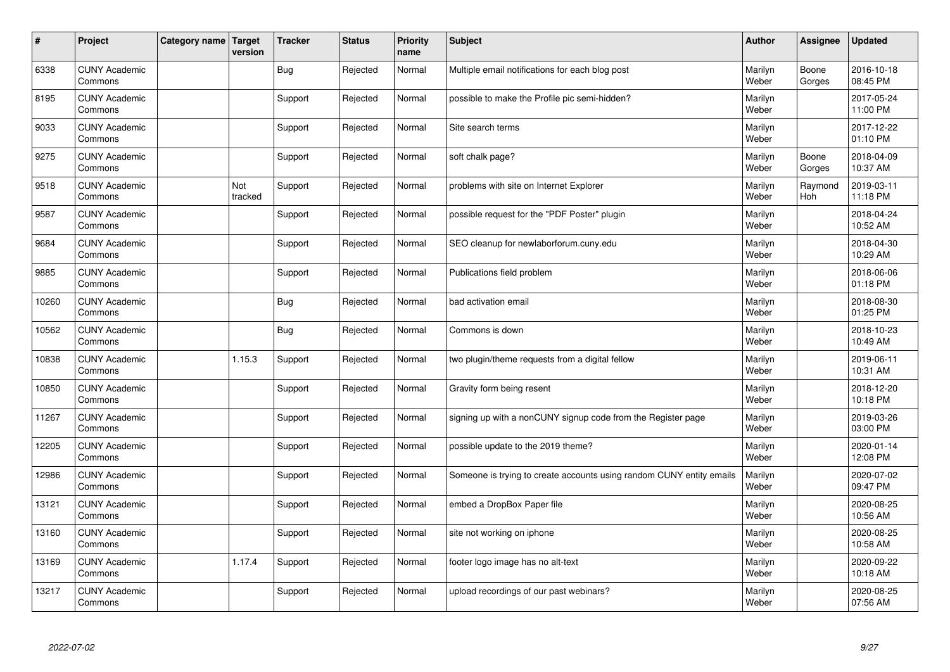| #     | Project                         | Category name Target | version        | <b>Tracker</b> | <b>Status</b> | <b>Priority</b><br>name | <b>Subject</b>                                                       | <b>Author</b>    | Assignee        | <b>Updated</b>         |
|-------|---------------------------------|----------------------|----------------|----------------|---------------|-------------------------|----------------------------------------------------------------------|------------------|-----------------|------------------------|
| 6338  | <b>CUNY Academic</b><br>Commons |                      |                | Bug            | Rejected      | Normal                  | Multiple email notifications for each blog post                      | Marilyn<br>Weber | Boone<br>Gorges | 2016-10-18<br>08:45 PM |
| 8195  | <b>CUNY Academic</b><br>Commons |                      |                | Support        | Rejected      | Normal                  | possible to make the Profile pic semi-hidden?                        | Marilyn<br>Weber |                 | 2017-05-24<br>11:00 PM |
| 9033  | <b>CUNY Academic</b><br>Commons |                      |                | Support        | Rejected      | Normal                  | Site search terms                                                    | Marilyn<br>Weber |                 | 2017-12-22<br>01:10 PM |
| 9275  | <b>CUNY Academic</b><br>Commons |                      |                | Support        | Rejected      | Normal                  | soft chalk page?                                                     | Marilyn<br>Weber | Boone<br>Gorges | 2018-04-09<br>10:37 AM |
| 9518  | <b>CUNY Academic</b><br>Commons |                      | Not<br>tracked | Support        | Rejected      | Normal                  | problems with site on Internet Explorer                              | Marilyn<br>Weber | Raymond<br>Hoh  | 2019-03-11<br>11:18 PM |
| 9587  | <b>CUNY Academic</b><br>Commons |                      |                | Support        | Rejected      | Normal                  | possible request for the "PDF Poster" plugin                         | Marilyn<br>Weber |                 | 2018-04-24<br>10:52 AM |
| 9684  | <b>CUNY Academic</b><br>Commons |                      |                | Support        | Rejected      | Normal                  | SEO cleanup for newlaborforum.cuny.edu                               | Marilyn<br>Weber |                 | 2018-04-30<br>10:29 AM |
| 9885  | <b>CUNY Academic</b><br>Commons |                      |                | Support        | Rejected      | Normal                  | Publications field problem                                           | Marilyn<br>Weber |                 | 2018-06-06<br>01:18 PM |
| 10260 | <b>CUNY Academic</b><br>Commons |                      |                | <b>Bug</b>     | Rejected      | Normal                  | bad activation email                                                 | Marilyn<br>Weber |                 | 2018-08-30<br>01:25 PM |
| 10562 | <b>CUNY Academic</b><br>Commons |                      |                | Bug            | Rejected      | Normal                  | Commons is down                                                      | Marilyn<br>Weber |                 | 2018-10-23<br>10:49 AM |
| 10838 | <b>CUNY Academic</b><br>Commons |                      | 1.15.3         | Support        | Rejected      | Normal                  | two plugin/theme requests from a digital fellow                      | Marilyn<br>Weber |                 | 2019-06-11<br>10:31 AM |
| 10850 | <b>CUNY Academic</b><br>Commons |                      |                | Support        | Rejected      | Normal                  | Gravity form being resent                                            | Marilyn<br>Weber |                 | 2018-12-20<br>10:18 PM |
| 11267 | <b>CUNY Academic</b><br>Commons |                      |                | Support        | Rejected      | Normal                  | signing up with a nonCUNY signup code from the Register page         | Marilyn<br>Weber |                 | 2019-03-26<br>03:00 PM |
| 12205 | <b>CUNY Academic</b><br>Commons |                      |                | Support        | Rejected      | Normal                  | possible update to the 2019 theme?                                   | Marilyn<br>Weber |                 | 2020-01-14<br>12:08 PM |
| 12986 | <b>CUNY Academic</b><br>Commons |                      |                | Support        | Rejected      | Normal                  | Someone is trying to create accounts using random CUNY entity emails | Marilyn<br>Weber |                 | 2020-07-02<br>09:47 PM |
| 13121 | <b>CUNY Academic</b><br>Commons |                      |                | Support        | Rejected      | Normal                  | embed a DropBox Paper file                                           | Marilyn<br>Weber |                 | 2020-08-25<br>10:56 AM |
| 13160 | <b>CUNY Academic</b><br>Commons |                      |                | Support        | Rejected      | Normal                  | site not working on iphone                                           | Marilyn<br>Weber |                 | 2020-08-25<br>10:58 AM |
| 13169 | <b>CUNY Academic</b><br>Commons |                      | 1.17.4         | Support        | Rejected      | Normal                  | footer logo image has no alt-text                                    | Marilyn<br>Weber |                 | 2020-09-22<br>10:18 AM |
| 13217 | <b>CUNY Academic</b><br>Commons |                      |                | Support        | Rejected      | Normal                  | upload recordings of our past webinars?                              | Marilyn<br>Weber |                 | 2020-08-25<br>07:56 AM |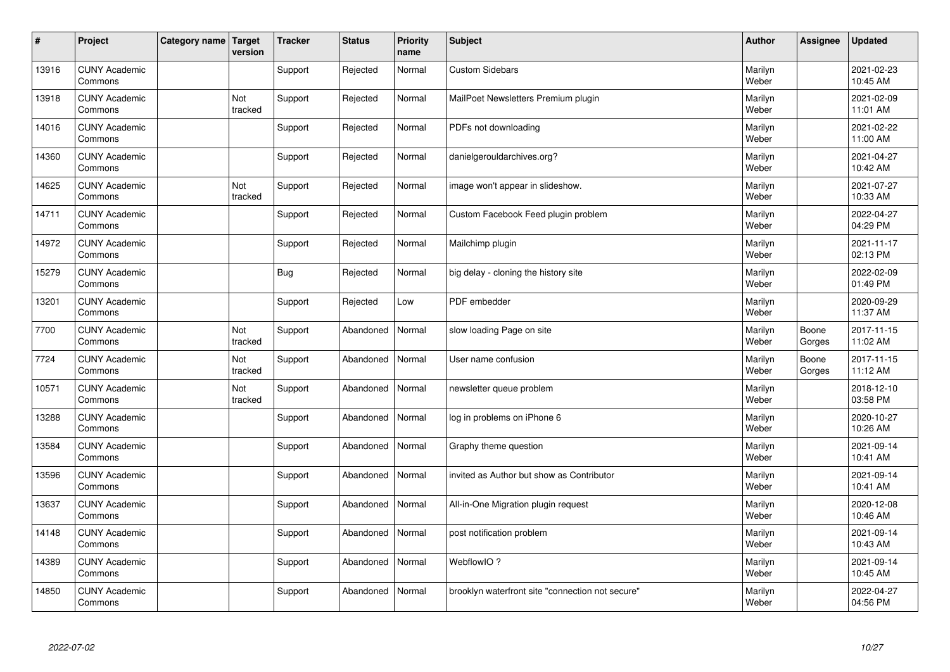| $\vert$ # | Project                         | Category name   Target | version        | <b>Tracker</b> | <b>Status</b> | <b>Priority</b><br>name | <b>Subject</b>                                   | <b>Author</b>    | <b>Assignee</b> | <b>Updated</b>         |
|-----------|---------------------------------|------------------------|----------------|----------------|---------------|-------------------------|--------------------------------------------------|------------------|-----------------|------------------------|
| 13916     | <b>CUNY Academic</b><br>Commons |                        |                | Support        | Rejected      | Normal                  | <b>Custom Sidebars</b>                           | Marilyn<br>Weber |                 | 2021-02-23<br>10:45 AM |
| 13918     | <b>CUNY Academic</b><br>Commons |                        | Not<br>tracked | Support        | Rejected      | Normal                  | MailPoet Newsletters Premium plugin              | Marilyn<br>Weber |                 | 2021-02-09<br>11:01 AM |
| 14016     | <b>CUNY Academic</b><br>Commons |                        |                | Support        | Rejected      | Normal                  | PDFs not downloading                             | Marilyn<br>Weber |                 | 2021-02-22<br>11:00 AM |
| 14360     | <b>CUNY Academic</b><br>Commons |                        |                | Support        | Rejected      | Normal                  | danielgerouldarchives.org?                       | Marilyn<br>Weber |                 | 2021-04-27<br>10:42 AM |
| 14625     | <b>CUNY Academic</b><br>Commons |                        | Not<br>tracked | Support        | Rejected      | Normal                  | image won't appear in slideshow.                 | Marilyn<br>Weber |                 | 2021-07-27<br>10:33 AM |
| 14711     | <b>CUNY Academic</b><br>Commons |                        |                | Support        | Rejected      | Normal                  | Custom Facebook Feed plugin problem              | Marilyn<br>Weber |                 | 2022-04-27<br>04:29 PM |
| 14972     | <b>CUNY Academic</b><br>Commons |                        |                | Support        | Rejected      | Normal                  | Mailchimp plugin                                 | Marilyn<br>Weber |                 | 2021-11-17<br>02:13 PM |
| 15279     | <b>CUNY Academic</b><br>Commons |                        |                | Bug            | Rejected      | Normal                  | big delay - cloning the history site             | Marilyn<br>Weber |                 | 2022-02-09<br>01:49 PM |
| 13201     | <b>CUNY Academic</b><br>Commons |                        |                | Support        | Rejected      | Low                     | PDF embedder                                     | Marilyn<br>Weber |                 | 2020-09-29<br>11:37 AM |
| 7700      | <b>CUNY Academic</b><br>Commons |                        | Not<br>tracked | Support        | Abandoned     | Normal                  | slow loading Page on site                        | Marilyn<br>Weber | Boone<br>Gorges | 2017-11-15<br>11:02 AM |
| 7724      | <b>CUNY Academic</b><br>Commons |                        | Not<br>tracked | Support        | Abandoned     | Normal                  | User name confusion                              | Marilyn<br>Weber | Boone<br>Gorges | 2017-11-15<br>11:12 AM |
| 10571     | <b>CUNY Academic</b><br>Commons |                        | Not<br>tracked | Support        | Abandoned     | Normal                  | newsletter queue problem                         | Marilyn<br>Weber |                 | 2018-12-10<br>03:58 PM |
| 13288     | <b>CUNY Academic</b><br>Commons |                        |                | Support        | Abandoned     | Normal                  | log in problems on iPhone 6                      | Marilyn<br>Weber |                 | 2020-10-27<br>10:26 AM |
| 13584     | <b>CUNY Academic</b><br>Commons |                        |                | Support        | Abandoned     | Normal                  | Graphy theme question                            | Marilyn<br>Weber |                 | 2021-09-14<br>10:41 AM |
| 13596     | <b>CUNY Academic</b><br>Commons |                        |                | Support        | Abandoned     | Normal                  | invited as Author but show as Contributor        | Marilyn<br>Weber |                 | 2021-09-14<br>10:41 AM |
| 13637     | <b>CUNY Academic</b><br>Commons |                        |                | Support        | Abandoned     | Normal                  | All-in-One Migration plugin request              | Marilyn<br>Weber |                 | 2020-12-08<br>10:46 AM |
| 14148     | <b>CUNY Academic</b><br>Commons |                        |                | Support        | Abandoned     | Normal                  | post notification problem                        | Marilyn<br>Weber |                 | 2021-09-14<br>10:43 AM |
| 14389     | <b>CUNY Academic</b><br>Commons |                        |                | Support        | Abandoned     | Normal                  | WebflowIO?                                       | Marilyn<br>Weber |                 | 2021-09-14<br>10:45 AM |
| 14850     | <b>CUNY Academic</b><br>Commons |                        |                | Support        | Abandoned     | Normal                  | brooklyn waterfront site "connection not secure" | Marilyn<br>Weber |                 | 2022-04-27<br>04:56 PM |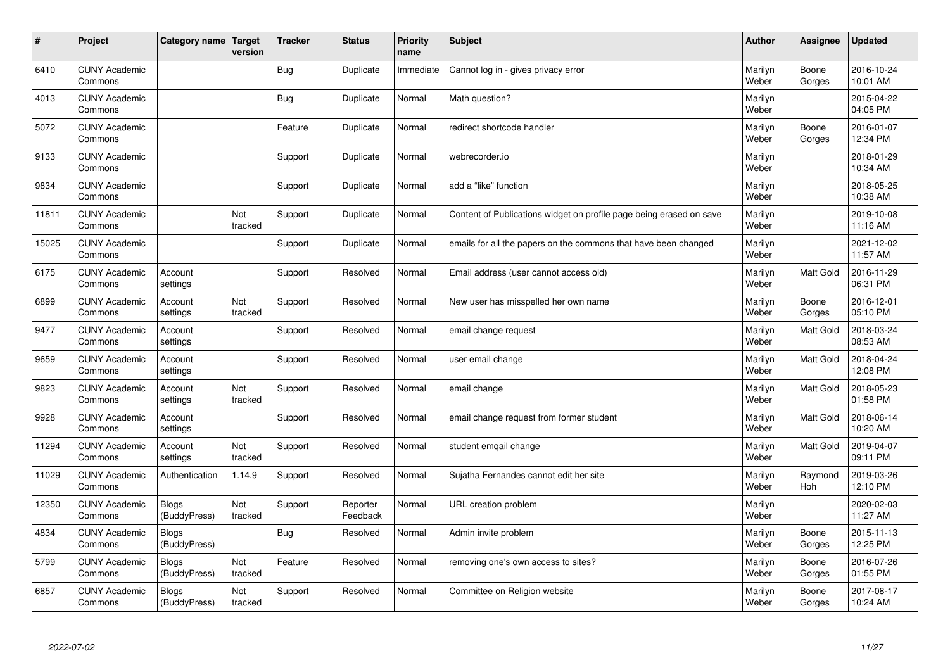| $\sharp$ | Project                         | Category name   Target       | version        | <b>Tracker</b> | <b>Status</b>        | <b>Priority</b><br>name | <b>Subject</b>                                                      | <b>Author</b>    | Assignee              | <b>Updated</b>         |
|----------|---------------------------------|------------------------------|----------------|----------------|----------------------|-------------------------|---------------------------------------------------------------------|------------------|-----------------------|------------------------|
| 6410     | <b>CUNY Academic</b><br>Commons |                              |                | Bug            | Duplicate            | Immediate               | Cannot log in - gives privacy error                                 | Marilyn<br>Weber | Boone<br>Gorges       | 2016-10-24<br>10:01 AM |
| 4013     | <b>CUNY Academic</b><br>Commons |                              |                | Bug            | Duplicate            | Normal                  | Math question?                                                      | Marilyn<br>Weber |                       | 2015-04-22<br>04:05 PM |
| 5072     | <b>CUNY Academic</b><br>Commons |                              |                | Feature        | Duplicate            | Normal                  | redirect shortcode handler                                          | Marilyn<br>Weber | Boone<br>Gorges       | 2016-01-07<br>12:34 PM |
| 9133     | <b>CUNY Academic</b><br>Commons |                              |                | Support        | Duplicate            | Normal                  | webrecorder.io                                                      | Marilyn<br>Weber |                       | 2018-01-29<br>10:34 AM |
| 9834     | <b>CUNY Academic</b><br>Commons |                              |                | Support        | Duplicate            | Normal                  | add a "like" function                                               | Marilyn<br>Weber |                       | 2018-05-25<br>10:38 AM |
| 11811    | <b>CUNY Academic</b><br>Commons |                              | Not<br>tracked | Support        | Duplicate            | Normal                  | Content of Publications widget on profile page being erased on save | Marilyn<br>Weber |                       | 2019-10-08<br>11:16 AM |
| 15025    | <b>CUNY Academic</b><br>Commons |                              |                | Support        | Duplicate            | Normal                  | emails for all the papers on the commons that have been changed     | Marilyn<br>Weber |                       | 2021-12-02<br>11:57 AM |
| 6175     | <b>CUNY Academic</b><br>Commons | Account<br>settings          |                | Support        | Resolved             | Normal                  | Email address (user cannot access old)                              | Marilyn<br>Weber | Matt Gold             | 2016-11-29<br>06:31 PM |
| 6899     | <b>CUNY Academic</b><br>Commons | Account<br>settings          | Not<br>tracked | Support        | Resolved             | Normal                  | New user has misspelled her own name                                | Marilyn<br>Weber | Boone<br>Gorges       | 2016-12-01<br>05:10 PM |
| 9477     | <b>CUNY Academic</b><br>Commons | Account<br>settings          |                | Support        | Resolved             | Normal                  | email change request                                                | Marilyn<br>Weber | <b>Matt Gold</b>      | 2018-03-24<br>08:53 AM |
| 9659     | <b>CUNY Academic</b><br>Commons | Account<br>settings          |                | Support        | Resolved             | Normal                  | user email change                                                   | Marilyn<br>Weber | Matt Gold             | 2018-04-24<br>12:08 PM |
| 9823     | <b>CUNY Academic</b><br>Commons | Account<br>settings          | Not<br>tracked | Support        | Resolved             | Normal                  | email change                                                        | Marilyn<br>Weber | Matt Gold             | 2018-05-23<br>01:58 PM |
| 9928     | <b>CUNY Academic</b><br>Commons | Account<br>settings          |                | Support        | Resolved             | Normal                  | email change request from former student                            | Marilyn<br>Weber | <b>Matt Gold</b>      | 2018-06-14<br>10:20 AM |
| 11294    | <b>CUNY Academic</b><br>Commons | Account<br>settings          | Not<br>tracked | Support        | Resolved             | Normal                  | student emgail change                                               | Marilyn<br>Weber | Matt Gold             | 2019-04-07<br>09:11 PM |
| 11029    | <b>CUNY Academic</b><br>Commons | Authentication               | 1.14.9         | Support        | Resolved             | Normal                  | Sujatha Fernandes cannot edit her site                              | Marilyn<br>Weber | Raymond<br><b>Hoh</b> | 2019-03-26<br>12:10 PM |
| 12350    | <b>CUNY Academic</b><br>Commons | <b>Blogs</b><br>(BuddyPress) | Not<br>tracked | Support        | Reporter<br>Feedback | Normal                  | URL creation problem                                                | Marilyn<br>Weber |                       | 2020-02-03<br>11:27 AM |
| 4834     | <b>CUNY Academic</b><br>Commons | Blogs<br>(BuddyPress)        |                | Bug            | Resolved             | Normal                  | Admin invite problem                                                | Marilyn<br>Weber | Boone<br>Gorges       | 2015-11-13<br>12:25 PM |
| 5799     | <b>CUNY Academic</b><br>Commons | <b>Blogs</b><br>(BuddyPress) | Not<br>tracked | Feature        | Resolved             | Normal                  | removing one's own access to sites?                                 | Marilyn<br>Weber | Boone<br>Gorges       | 2016-07-26<br>01:55 PM |
| 6857     | <b>CUNY Academic</b><br>Commons | Blogs<br>(BuddyPress)        | Not<br>tracked | Support        | Resolved             | Normal                  | Committee on Religion website                                       | Marilyn<br>Weber | Boone<br>Gorges       | 2017-08-17<br>10:24 AM |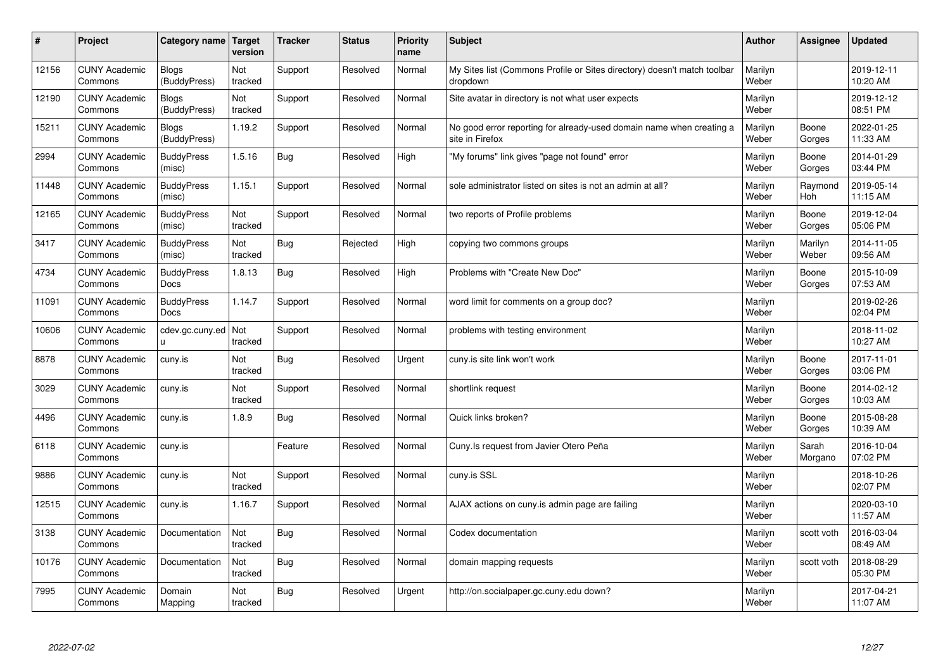| $\sharp$ | Project                         | Category name   Target           | version        | <b>Tracker</b> | <b>Status</b> | <b>Priority</b><br>name | <b>Subject</b>                                                                          | <b>Author</b>    | Assignee         | Updated                |
|----------|---------------------------------|----------------------------------|----------------|----------------|---------------|-------------------------|-----------------------------------------------------------------------------------------|------------------|------------------|------------------------|
| 12156    | <b>CUNY Academic</b><br>Commons | <b>Blogs</b><br>(BuddyPress)     | Not<br>tracked | Support        | Resolved      | Normal                  | My Sites list (Commons Profile or Sites directory) doesn't match toolbar<br>dropdown    | Marilyn<br>Weber |                  | 2019-12-11<br>10:20 AM |
| 12190    | <b>CUNY Academic</b><br>Commons | Blogs<br>(BuddyPress)            | Not<br>tracked | Support        | Resolved      | Normal                  | Site avatar in directory is not what user expects                                       | Marilyn<br>Weber |                  | 2019-12-12<br>08:51 PM |
| 15211    | <b>CUNY Academic</b><br>Commons | <b>Blogs</b><br>(BuddyPress)     | 1.19.2         | Support        | Resolved      | Normal                  | No good error reporting for already-used domain name when creating a<br>site in Firefox | Marilyn<br>Weber | Boone<br>Gorges  | 2022-01-25<br>11:33 AM |
| 2994     | <b>CUNY Academic</b><br>Commons | <b>BuddyPress</b><br>(misc)      | 1.5.16         | Bug            | Resolved      | High                    | "My forums" link gives "page not found" error                                           | Marilyn<br>Weber | Boone<br>Gorges  | 2014-01-29<br>03:44 PM |
| 11448    | <b>CUNY Academic</b><br>Commons | <b>BuddyPress</b><br>(misc)      | 1.15.1         | Support        | Resolved      | Normal                  | sole administrator listed on sites is not an admin at all?                              | Marilyn<br>Weber | Raymond<br>Hoh   | 2019-05-14<br>11:15 AM |
| 12165    | <b>CUNY Academic</b><br>Commons | <b>BuddyPress</b><br>(misc)      | Not<br>tracked | Support        | Resolved      | Normal                  | two reports of Profile problems                                                         | Marilyn<br>Weber | Boone<br>Gorges  | 2019-12-04<br>05:06 PM |
| 3417     | <b>CUNY Academic</b><br>Commons | <b>BuddyPress</b><br>(misc)      | Not<br>tracked | Bug            | Rejected      | High                    | copying two commons groups                                                              | Marilyn<br>Weber | Marilyn<br>Weber | 2014-11-05<br>09:56 AM |
| 4734     | <b>CUNY Academic</b><br>Commons | <b>BuddyPress</b><br>Docs        | 1.8.13         | Bug            | Resolved      | High                    | Problems with "Create New Doc"                                                          | Marilyn<br>Weber | Boone<br>Gorges  | 2015-10-09<br>07:53 AM |
| 11091    | <b>CUNY Academic</b><br>Commons | <b>BuddyPress</b><br><b>Docs</b> | 1.14.7         | Support        | Resolved      | Normal                  | word limit for comments on a group doc?                                                 | Marilyn<br>Weber |                  | 2019-02-26<br>02:04 PM |
| 10606    | <b>CUNY Academic</b><br>Commons | cdev.gc.cuny.ed<br>u.            | Not<br>tracked | Support        | Resolved      | Normal                  | problems with testing environment                                                       | Marilyn<br>Weber |                  | 2018-11-02<br>10:27 AM |
| 8878     | <b>CUNY Academic</b><br>Commons | cuny.is                          | Not<br>tracked | Bug            | Resolved      | Urgent                  | cuny.is site link won't work                                                            | Marilyn<br>Weber | Boone<br>Gorges  | 2017-11-01<br>03:06 PM |
| 3029     | <b>CUNY Academic</b><br>Commons | cuny.is                          | Not<br>tracked | Support        | Resolved      | Normal                  | shortlink request                                                                       | Marilyn<br>Weber | Boone<br>Gorges  | 2014-02-12<br>10:03 AM |
| 4496     | <b>CUNY Academic</b><br>Commons | cuny.is                          | 1.8.9          | <b>Bug</b>     | Resolved      | Normal                  | Quick links broken?                                                                     | Marilyn<br>Weber | Boone<br>Gorges  | 2015-08-28<br>10:39 AM |
| 6118     | <b>CUNY Academic</b><br>Commons | cuny.is                          |                | Feature        | Resolved      | Normal                  | Cuny. Is request from Javier Otero Peña                                                 | Marilyn<br>Weber | Sarah<br>Morgano | 2016-10-04<br>07:02 PM |
| 9886     | <b>CUNY Academic</b><br>Commons | cuny.is                          | Not<br>tracked | Support        | Resolved      | Normal                  | cuny.is SSL                                                                             | Marilyn<br>Weber |                  | 2018-10-26<br>02:07 PM |
| 12515    | <b>CUNY Academic</b><br>Commons | cuny.is                          | 1.16.7         | Support        | Resolved      | Normal                  | AJAX actions on cuny is admin page are failing                                          | Marilyn<br>Weber |                  | 2020-03-10<br>11:57 AM |
| 3138     | <b>CUNY Academic</b><br>Commons | Documentation                    | Not<br>tracked | Bug            | Resolved      | Normal                  | Codex documentation                                                                     | Marilyn<br>Weber | scott voth       | 2016-03-04<br>08:49 AM |
| 10176    | <b>CUNY Academic</b><br>Commons | Documentation                    | Not<br>tracked | Bug            | Resolved      | Normal                  | domain mapping requests                                                                 | Marilyn<br>Weber | scott voth       | 2018-08-29<br>05:30 PM |
| 7995     | <b>CUNY Academic</b><br>Commons | Domain<br>Mapping                | Not<br>tracked | Bug            | Resolved      | Urgent                  | http://on.socialpaper.gc.cuny.edu down?                                                 | Marilyn<br>Weber |                  | 2017-04-21<br>11:07 AM |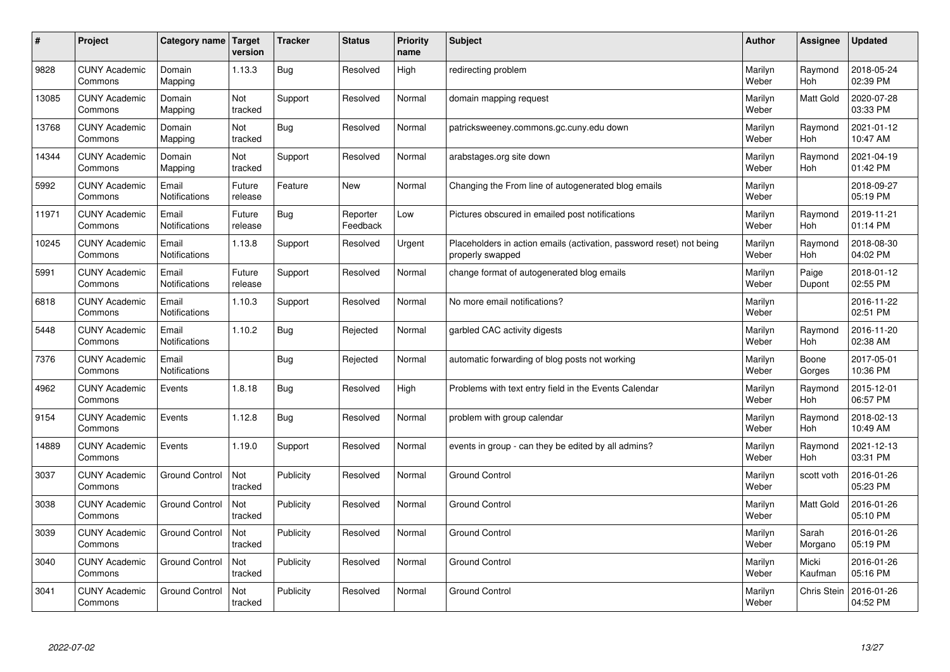| $\pmb{\#}$ | Project                         | Category name                 | Target<br>version | <b>Tracker</b> | <b>Status</b>        | <b>Priority</b><br>name | <b>Subject</b>                                                                           | <b>Author</b>    | Assignee              | Updated                |
|------------|---------------------------------|-------------------------------|-------------------|----------------|----------------------|-------------------------|------------------------------------------------------------------------------------------|------------------|-----------------------|------------------------|
| 9828       | <b>CUNY Academic</b><br>Commons | Domain<br>Mapping             | 1.13.3            | Bug            | Resolved             | High                    | redirecting problem                                                                      | Marilyn<br>Weber | Raymond<br><b>Hoh</b> | 2018-05-24<br>02:39 PM |
| 13085      | <b>CUNY Academic</b><br>Commons | Domain<br>Mapping             | Not<br>tracked    | Support        | Resolved             | Normal                  | domain mapping request                                                                   | Marilyn<br>Weber | Matt Gold             | 2020-07-28<br>03:33 PM |
| 13768      | <b>CUNY Academic</b><br>Commons | Domain<br>Mapping             | Not<br>tracked    | Bug            | Resolved             | Normal                  | patricksweeney.commons.gc.cuny.edu down                                                  | Marilyn<br>Weber | Raymond<br><b>Hoh</b> | 2021-01-12<br>10:47 AM |
| 14344      | <b>CUNY Academic</b><br>Commons | Domain<br>Mapping             | Not<br>tracked    | Support        | Resolved             | Normal                  | arabstages.org site down                                                                 | Marilyn<br>Weber | Raymond<br><b>Hoh</b> | 2021-04-19<br>01:42 PM |
| 5992       | <b>CUNY Academic</b><br>Commons | Email<br>Notifications        | Future<br>release | Feature        | <b>New</b>           | Normal                  | Changing the From line of autogenerated blog emails                                      | Marilyn<br>Weber |                       | 2018-09-27<br>05:19 PM |
| 11971      | <b>CUNY Academic</b><br>Commons | Email<br>Notifications        | Future<br>release | Bug            | Reporter<br>Feedback | Low                     | Pictures obscured in emailed post notifications                                          | Marilyn<br>Weber | Raymond<br>Hoh        | 2019-11-21<br>01:14 PM |
| 10245      | <b>CUNY Academic</b><br>Commons | Email<br><b>Notifications</b> | 1.13.8            | Support        | Resolved             | Urgent                  | Placeholders in action emails (activation, password reset) not being<br>properly swapped | Marilyn<br>Weber | Raymond<br>Hoh        | 2018-08-30<br>04:02 PM |
| 5991       | <b>CUNY Academic</b><br>Commons | Email<br>Notifications        | Future<br>release | Support        | Resolved             | Normal                  | change format of autogenerated blog emails                                               | Marilyn<br>Weber | Paige<br>Dupont       | 2018-01-12<br>02:55 PM |
| 6818       | <b>CUNY Academic</b><br>Commons | Email<br>Notifications        | 1.10.3            | Support        | Resolved             | Normal                  | No more email notifications?                                                             | Marilyn<br>Weber |                       | 2016-11-22<br>02:51 PM |
| 5448       | <b>CUNY Academic</b><br>Commons | Email<br><b>Notifications</b> | 1.10.2            | Bug            | Rejected             | Normal                  | garbled CAC activity digests                                                             | Marilyn<br>Weber | Raymond<br>Hoh        | 2016-11-20<br>02:38 AM |
| 7376       | <b>CUNY Academic</b><br>Commons | Email<br>Notifications        |                   | <b>Bug</b>     | Rejected             | Normal                  | automatic forwarding of blog posts not working                                           | Marilyn<br>Weber | Boone<br>Gorges       | 2017-05-01<br>10:36 PM |
| 4962       | <b>CUNY Academic</b><br>Commons | Events                        | 1.8.18            | Bug            | Resolved             | High                    | Problems with text entry field in the Events Calendar                                    | Marilyn<br>Weber | Raymond<br>Hoh        | 2015-12-01<br>06:57 PM |
| 9154       | <b>CUNY Academic</b><br>Commons | Events                        | 1.12.8            | <b>Bug</b>     | Resolved             | Normal                  | problem with group calendar                                                              | Marilyn<br>Weber | Raymond<br>Hoh        | 2018-02-13<br>10:49 AM |
| 14889      | <b>CUNY Academic</b><br>Commons | Events                        | 1.19.0            | Support        | Resolved             | Normal                  | events in group - can they be edited by all admins?                                      | Marilyn<br>Weber | Raymond<br><b>Hoh</b> | 2021-12-13<br>03:31 PM |
| 3037       | <b>CUNY Academic</b><br>Commons | <b>Ground Control</b>         | Not<br>tracked    | Publicity      | Resolved             | Normal                  | <b>Ground Control</b>                                                                    | Marilyn<br>Weber | scott voth            | 2016-01-26<br>05:23 PM |
| 3038       | <b>CUNY Academic</b><br>Commons | <b>Ground Control</b>         | Not<br>tracked    | Publicity      | Resolved             | Normal                  | <b>Ground Control</b>                                                                    | Marilyn<br>Weber | Matt Gold             | 2016-01-26<br>05:10 PM |
| 3039       | <b>CUNY Academic</b><br>Commons | <b>Ground Control</b>         | Not<br>tracked    | Publicity      | Resolved             | Normal                  | <b>Ground Control</b>                                                                    | Marilyn<br>Weber | Sarah<br>Morgano      | 2016-01-26<br>05:19 PM |
| 3040       | <b>CUNY Academic</b><br>Commons | <b>Ground Control</b>         | Not<br>tracked    | Publicity      | Resolved             | Normal                  | <b>Ground Control</b>                                                                    | Marilyn<br>Weber | Micki<br>Kaufman      | 2016-01-26<br>05:16 PM |
| 3041       | <b>CUNY Academic</b><br>Commons | <b>Ground Control</b>         | Not<br>tracked    | Publicity      | Resolved             | Normal                  | <b>Ground Control</b>                                                                    | Marilyn<br>Weber | <b>Chris Stein</b>    | 2016-01-26<br>04:52 PM |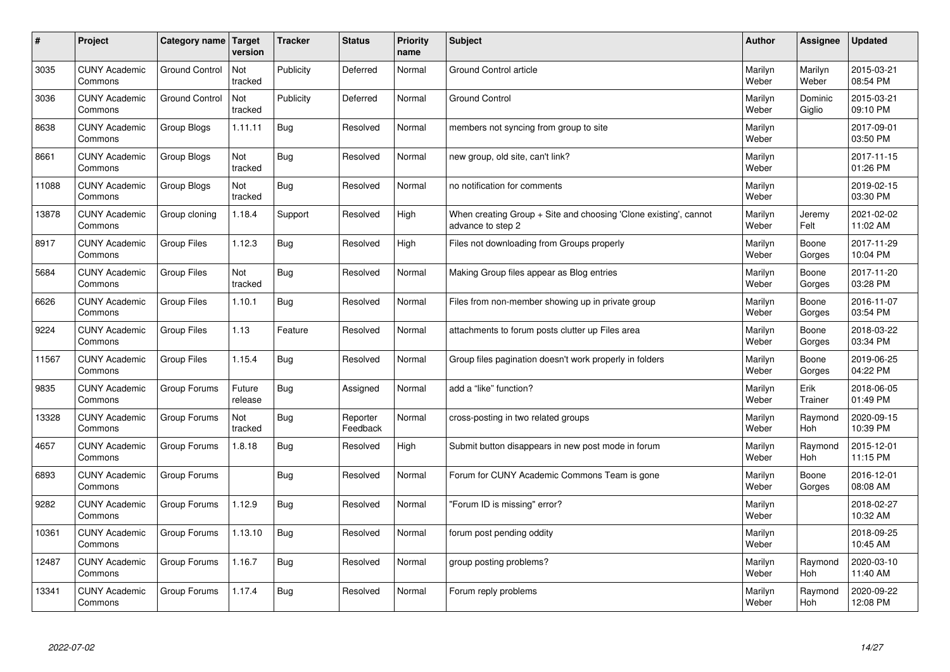| #     | Project                         | Category name Target  | version           | <b>Tracker</b> | <b>Status</b>        | <b>Priority</b><br>name | <b>Subject</b>                                                                        | <b>Author</b>    | <b>Assignee</b>       | <b>Updated</b>         |
|-------|---------------------------------|-----------------------|-------------------|----------------|----------------------|-------------------------|---------------------------------------------------------------------------------------|------------------|-----------------------|------------------------|
| 3035  | <b>CUNY Academic</b><br>Commons | <b>Ground Control</b> | Not<br>tracked    | Publicity      | Deferred             | Normal                  | <b>Ground Control article</b>                                                         | Marilyn<br>Weber | Marilyn<br>Weber      | 2015-03-21<br>08:54 PM |
| 3036  | <b>CUNY Academic</b><br>Commons | <b>Ground Control</b> | Not<br>tracked    | Publicity      | Deferred             | Normal                  | <b>Ground Control</b>                                                                 | Marilyn<br>Weber | Dominic<br>Giglio     | 2015-03-21<br>09:10 PM |
| 8638  | <b>CUNY Academic</b><br>Commons | Group Blogs           | 1.11.11           | Bug            | Resolved             | Normal                  | members not syncing from group to site                                                | Marilyn<br>Weber |                       | 2017-09-01<br>03:50 PM |
| 8661  | <b>CUNY Academic</b><br>Commons | Group Blogs           | Not<br>tracked    | Bug            | Resolved             | Normal                  | new group, old site, can't link?                                                      | Marilyn<br>Weber |                       | 2017-11-15<br>01:26 PM |
| 11088 | <b>CUNY Academic</b><br>Commons | Group Blogs           | Not<br>tracked    | Bug            | Resolved             | Normal                  | no notification for comments                                                          | Marilyn<br>Weber |                       | 2019-02-15<br>03:30 PM |
| 13878 | <b>CUNY Academic</b><br>Commons | Group cloning         | 1.18.4            | Support        | Resolved             | High                    | When creating Group + Site and choosing 'Clone existing', cannot<br>advance to step 2 | Marilyn<br>Weber | Jeremy<br>Felt        | 2021-02-02<br>11:02 AM |
| 8917  | <b>CUNY Academic</b><br>Commons | <b>Group Files</b>    | 1.12.3            | Bug            | Resolved             | High                    | Files not downloading from Groups properly                                            | Marilyn<br>Weber | Boone<br>Gorges       | 2017-11-29<br>10:04 PM |
| 5684  | <b>CUNY Academic</b><br>Commons | <b>Group Files</b>    | Not<br>tracked    | Bug            | Resolved             | Normal                  | Making Group files appear as Blog entries                                             | Marilyn<br>Weber | Boone<br>Gorges       | 2017-11-20<br>03:28 PM |
| 6626  | <b>CUNY Academic</b><br>Commons | Group Files           | 1.10.1            | Bug            | Resolved             | Normal                  | Files from non-member showing up in private group                                     | Marilyn<br>Weber | Boone<br>Gorges       | 2016-11-07<br>03:54 PM |
| 9224  | <b>CUNY Academic</b><br>Commons | <b>Group Files</b>    | 1.13              | Feature        | Resolved             | Normal                  | attachments to forum posts clutter up Files area                                      | Marilyn<br>Weber | Boone<br>Gorges       | 2018-03-22<br>03:34 PM |
| 11567 | <b>CUNY Academic</b><br>Commons | <b>Group Files</b>    | 1.15.4            | Bug            | Resolved             | Normal                  | Group files pagination doesn't work properly in folders                               | Marilyn<br>Weber | Boone<br>Gorges       | 2019-06-25<br>04:22 PM |
| 9835  | <b>CUNY Academic</b><br>Commons | Group Forums          | Future<br>release | <b>Bug</b>     | Assigned             | Normal                  | add a "like" function?                                                                | Marilyn<br>Weber | Erik<br>Trainer       | 2018-06-05<br>01:49 PM |
| 13328 | <b>CUNY Academic</b><br>Commons | Group Forums          | Not<br>tracked    | <b>Bug</b>     | Reporter<br>Feedback | Normal                  | cross-posting in two related groups                                                   | Marilyn<br>Weber | Raymond<br>Hoh        | 2020-09-15<br>10:39 PM |
| 4657  | <b>CUNY Academic</b><br>Commons | Group Forums          | 1.8.18            | Bug            | Resolved             | High                    | Submit button disappears in new post mode in forum                                    | Marilyn<br>Weber | Raymond<br><b>Hoh</b> | 2015-12-01<br>11:15 PM |
| 6893  | <b>CUNY Academic</b><br>Commons | Group Forums          |                   | Bug            | Resolved             | Normal                  | Forum for CUNY Academic Commons Team is gone                                          | Marilyn<br>Weber | Boone<br>Gorges       | 2016-12-01<br>08:08 AM |
| 9282  | <b>CUNY Academic</b><br>Commons | Group Forums          | 1.12.9            | Bug            | Resolved             | Normal                  | "Forum ID is missing" error?                                                          | Marilyn<br>Weber |                       | 2018-02-27<br>10:32 AM |
| 10361 | <b>CUNY Academic</b><br>Commons | Group Forums          | 1.13.10           | Bug            | Resolved             | Normal                  | forum post pending oddity                                                             | Marilyn<br>Weber |                       | 2018-09-25<br>10:45 AM |
| 12487 | <b>CUNY Academic</b><br>Commons | Group Forums          | 1.16.7            | Bug            | Resolved             | Normal                  | group posting problems?                                                               | Marilyn<br>Weber | Raymond<br>Hoh        | 2020-03-10<br>11:40 AM |
| 13341 | <b>CUNY Academic</b><br>Commons | Group Forums          | 1.17.4            | Bug            | Resolved             | Normal                  | Forum reply problems                                                                  | Marilyn<br>Weber | Raymond<br>Hoh        | 2020-09-22<br>12:08 PM |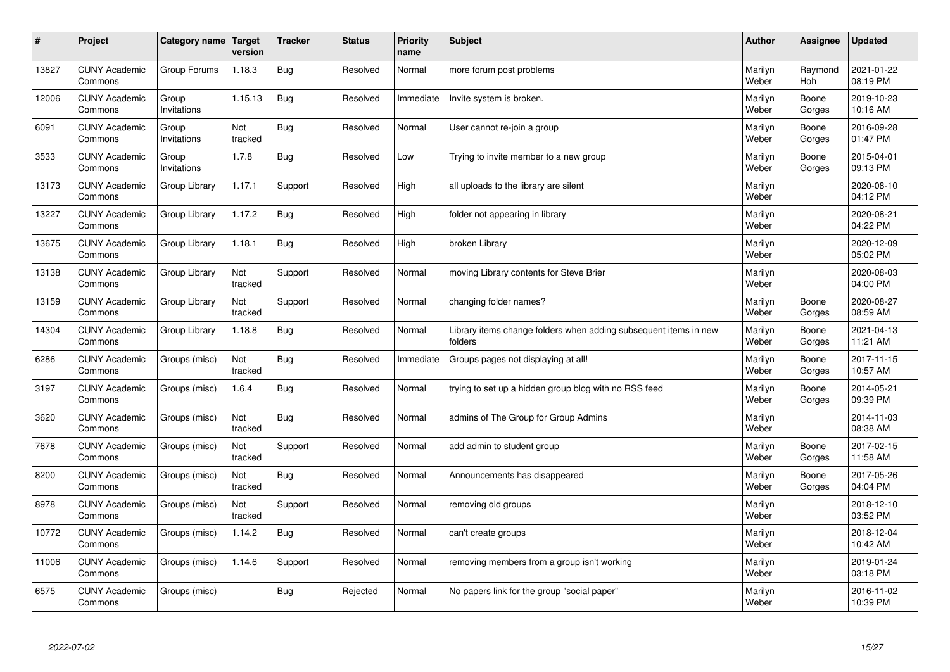| $\sharp$ | Project                         | Category name   Target | version        | <b>Tracker</b> | <b>Status</b> | <b>Priority</b><br>name | <b>Subject</b>                                                              | <b>Author</b>    | Assignee        | <b>Updated</b>         |
|----------|---------------------------------|------------------------|----------------|----------------|---------------|-------------------------|-----------------------------------------------------------------------------|------------------|-----------------|------------------------|
| 13827    | <b>CUNY Academic</b><br>Commons | Group Forums           | 1.18.3         | Bug            | Resolved      | Normal                  | more forum post problems                                                    | Marilyn<br>Weber | Raymond<br>Hoh  | 2021-01-22<br>08:19 PM |
| 12006    | <b>CUNY Academic</b><br>Commons | Group<br>Invitations   | 1.15.13        | Bug            | Resolved      | Immediate               | Invite system is broken.                                                    | Marilyn<br>Weber | Boone<br>Gorges | 2019-10-23<br>10:16 AM |
| 6091     | <b>CUNY Academic</b><br>Commons | Group<br>Invitations   | Not<br>tracked | Bug            | Resolved      | Normal                  | User cannot re-join a group                                                 | Marilyn<br>Weber | Boone<br>Gorges | 2016-09-28<br>01:47 PM |
| 3533     | <b>CUNY Academic</b><br>Commons | Group<br>Invitations   | 1.7.8          | Bug            | Resolved      | Low                     | Trying to invite member to a new group                                      | Marilyn<br>Weber | Boone<br>Gorges | 2015-04-01<br>09:13 PM |
| 13173    | <b>CUNY Academic</b><br>Commons | Group Library          | 1.17.1         | Support        | Resolved      | High                    | all uploads to the library are silent                                       | Marilyn<br>Weber |                 | 2020-08-10<br>04:12 PM |
| 13227    | <b>CUNY Academic</b><br>Commons | Group Library          | 1.17.2         | Bug            | Resolved      | High                    | folder not appearing in library                                             | Marilyn<br>Weber |                 | 2020-08-21<br>04:22 PM |
| 13675    | <b>CUNY Academic</b><br>Commons | Group Library          | 1.18.1         | <b>Bug</b>     | Resolved      | High                    | broken Library                                                              | Marilyn<br>Weber |                 | 2020-12-09<br>05:02 PM |
| 13138    | <b>CUNY Academic</b><br>Commons | Group Library          | Not<br>tracked | Support        | Resolved      | Normal                  | moving Library contents for Steve Brier                                     | Marilyn<br>Weber |                 | 2020-08-03<br>04:00 PM |
| 13159    | <b>CUNY Academic</b><br>Commons | Group Library          | Not<br>tracked | Support        | Resolved      | Normal                  | changing folder names?                                                      | Marilyn<br>Weber | Boone<br>Gorges | 2020-08-27<br>08:59 AM |
| 14304    | <b>CUNY Academic</b><br>Commons | Group Library          | 1.18.8         | Bug            | Resolved      | Normal                  | Library items change folders when adding subsequent items in new<br>folders | Marilyn<br>Weber | Boone<br>Gorges | 2021-04-13<br>11:21 AM |
| 6286     | <b>CUNY Academic</b><br>Commons | Groups (misc)          | Not<br>tracked | Bug            | Resolved      | Immediate               | Groups pages not displaying at all!                                         | Marilyn<br>Weber | Boone<br>Gorges | 2017-11-15<br>10:57 AM |
| 3197     | <b>CUNY Academic</b><br>Commons | Groups (misc)          | 1.6.4          | Bug            | Resolved      | Normal                  | trying to set up a hidden group blog with no RSS feed                       | Marilyn<br>Weber | Boone<br>Gorges | 2014-05-21<br>09:39 PM |
| 3620     | <b>CUNY Academic</b><br>Commons | Groups (misc)          | Not<br>tracked | Bug            | Resolved      | Normal                  | admins of The Group for Group Admins                                        | Marilyn<br>Weber |                 | 2014-11-03<br>08:38 AM |
| 7678     | <b>CUNY Academic</b><br>Commons | Groups (misc)          | Not<br>tracked | Support        | Resolved      | Normal                  | add admin to student group                                                  | Marilyn<br>Weber | Boone<br>Gorges | 2017-02-15<br>11:58 AM |
| 8200     | <b>CUNY Academic</b><br>Commons | Groups (misc)          | Not<br>tracked | Bug            | Resolved      | Normal                  | Announcements has disappeared                                               | Marilyn<br>Weber | Boone<br>Gorges | 2017-05-26<br>04:04 PM |
| 8978     | <b>CUNY Academic</b><br>Commons | Groups (misc)          | Not<br>tracked | Support        | Resolved      | Normal                  | removing old groups                                                         | Marilyn<br>Weber |                 | 2018-12-10<br>03:52 PM |
| 10772    | <b>CUNY Academic</b><br>Commons | Groups (misc)          | 1.14.2         | <b>Bug</b>     | Resolved      | Normal                  | can't create groups                                                         | Marilyn<br>Weber |                 | 2018-12-04<br>10:42 AM |
| 11006    | <b>CUNY Academic</b><br>Commons | Groups (misc)          | 1.14.6         | Support        | Resolved      | Normal                  | removing members from a group isn't working                                 | Marilyn<br>Weber |                 | 2019-01-24<br>03:18 PM |
| 6575     | <b>CUNY Academic</b><br>Commons | Groups (misc)          |                | Bug            | Rejected      | Normal                  | No papers link for the group "social paper"                                 | Marilyn<br>Weber |                 | 2016-11-02<br>10:39 PM |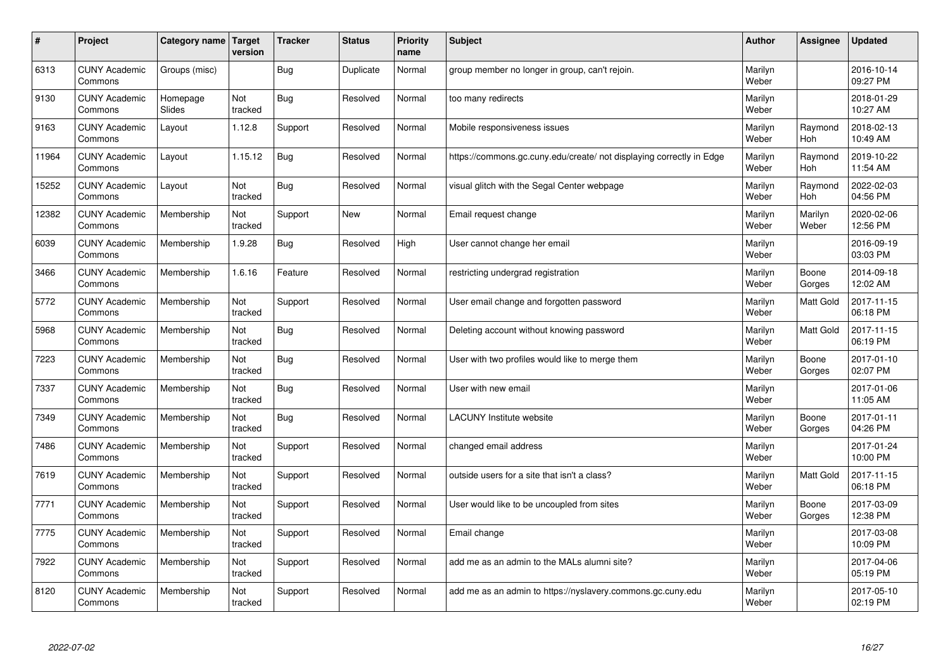| #     | Project                         | Category name             | Target<br>version | <b>Tracker</b> | <b>Status</b> | <b>Priority</b><br>name | <b>Subject</b>                                                       | <b>Author</b>    | Assignee         | <b>Updated</b>         |
|-------|---------------------------------|---------------------------|-------------------|----------------|---------------|-------------------------|----------------------------------------------------------------------|------------------|------------------|------------------------|
| 6313  | <b>CUNY Academic</b><br>Commons | Groups (misc)             |                   | Bug            | Duplicate     | Normal                  | group member no longer in group, can't rejoin.                       | Marilyn<br>Weber |                  | 2016-10-14<br>09:27 PM |
| 9130  | <b>CUNY Academic</b><br>Commons | Homepage<br><b>Slides</b> | Not<br>tracked    | <b>Bug</b>     | Resolved      | Normal                  | too many redirects                                                   | Marilyn<br>Weber |                  | 2018-01-29<br>10:27 AM |
| 9163  | <b>CUNY Academic</b><br>Commons | Layout                    | 1.12.8            | Support        | Resolved      | Normal                  | Mobile responsiveness issues                                         | Marilyn<br>Weber | Raymond<br>Hoh   | 2018-02-13<br>10:49 AM |
| 11964 | <b>CUNY Academic</b><br>Commons | Layout                    | 1.15.12           | Bug            | Resolved      | Normal                  | https://commons.gc.cuny.edu/create/ not displaying correctly in Edge | Marilyn<br>Weber | Raymond<br>Hoh   | 2019-10-22<br>11:54 AM |
| 15252 | <b>CUNY Academic</b><br>Commons | Layout                    | Not<br>tracked    | <b>Bug</b>     | Resolved      | Normal                  | visual glitch with the Segal Center webpage                          | Marilyn<br>Weber | Raymond<br>Hoh   | 2022-02-03<br>04:56 PM |
| 12382 | <b>CUNY Academic</b><br>Commons | Membership                | Not<br>tracked    | Support        | <b>New</b>    | Normal                  | Email request change                                                 | Marilyn<br>Weber | Marilyn<br>Weber | 2020-02-06<br>12:56 PM |
| 6039  | <b>CUNY Academic</b><br>Commons | Membership                | 1.9.28            | Bug            | Resolved      | High                    | User cannot change her email                                         | Marilyn<br>Weber |                  | 2016-09-19<br>03:03 PM |
| 3466  | <b>CUNY Academic</b><br>Commons | Membership                | 1.6.16            | Feature        | Resolved      | Normal                  | restricting undergrad registration                                   | Marilyn<br>Weber | Boone<br>Gorges  | 2014-09-18<br>12:02 AM |
| 5772  | <b>CUNY Academic</b><br>Commons | Membership                | Not<br>tracked    | Support        | Resolved      | Normal                  | User email change and forgotten password                             | Marilyn<br>Weber | Matt Gold        | 2017-11-15<br>06:18 PM |
| 5968  | <b>CUNY Academic</b><br>Commons | Membership                | Not<br>tracked    | Bug            | Resolved      | Normal                  | Deleting account without knowing password                            | Marilyn<br>Weber | <b>Matt Gold</b> | 2017-11-15<br>06:19 PM |
| 7223  | <b>CUNY Academic</b><br>Commons | Membership                | Not<br>tracked    | <b>Bug</b>     | Resolved      | Normal                  | User with two profiles would like to merge them                      | Marilyn<br>Weber | Boone<br>Gorges  | 2017-01-10<br>02:07 PM |
| 7337  | <b>CUNY Academic</b><br>Commons | Membership                | Not<br>tracked    | <b>Bug</b>     | Resolved      | Normal                  | User with new email                                                  | Marilyn<br>Weber |                  | 2017-01-06<br>11:05 AM |
| 7349  | <b>CUNY Academic</b><br>Commons | Membership                | Not<br>tracked    | Bug            | Resolved      | Normal                  | <b>LACUNY</b> Institute website                                      | Marilyn<br>Weber | Boone<br>Gorges  | 2017-01-11<br>04:26 PM |
| 7486  | <b>CUNY Academic</b><br>Commons | Membership                | Not<br>tracked    | Support        | Resolved      | Normal                  | changed email address                                                | Marilyn<br>Weber |                  | 2017-01-24<br>10:00 PM |
| 7619  | <b>CUNY Academic</b><br>Commons | Membership                | Not<br>tracked    | Support        | Resolved      | Normal                  | outside users for a site that isn't a class?                         | Marilyn<br>Weber | Matt Gold        | 2017-11-15<br>06:18 PM |
| 7771  | <b>CUNY Academic</b><br>Commons | Membership                | Not<br>tracked    | Support        | Resolved      | Normal                  | User would like to be uncoupled from sites                           | Marilyn<br>Weber | Boone<br>Gorges  | 2017-03-09<br>12:38 PM |
| 7775  | <b>CUNY Academic</b><br>Commons | Membership                | Not<br>tracked    | Support        | Resolved      | Normal                  | Email change                                                         | Marilyn<br>Weber |                  | 2017-03-08<br>10:09 PM |
| 7922  | <b>CUNY Academic</b><br>Commons | Membership                | Not<br>tracked    | Support        | Resolved      | Normal                  | add me as an admin to the MALs alumni site?                          | Marilyn<br>Weber |                  | 2017-04-06<br>05:19 PM |
| 8120  | <b>CUNY Academic</b><br>Commons | Membership                | Not<br>tracked    | Support        | Resolved      | Normal                  | add me as an admin to https://nyslavery.commons.gc.cuny.edu          | Marilyn<br>Weber |                  | 2017-05-10<br>02:19 PM |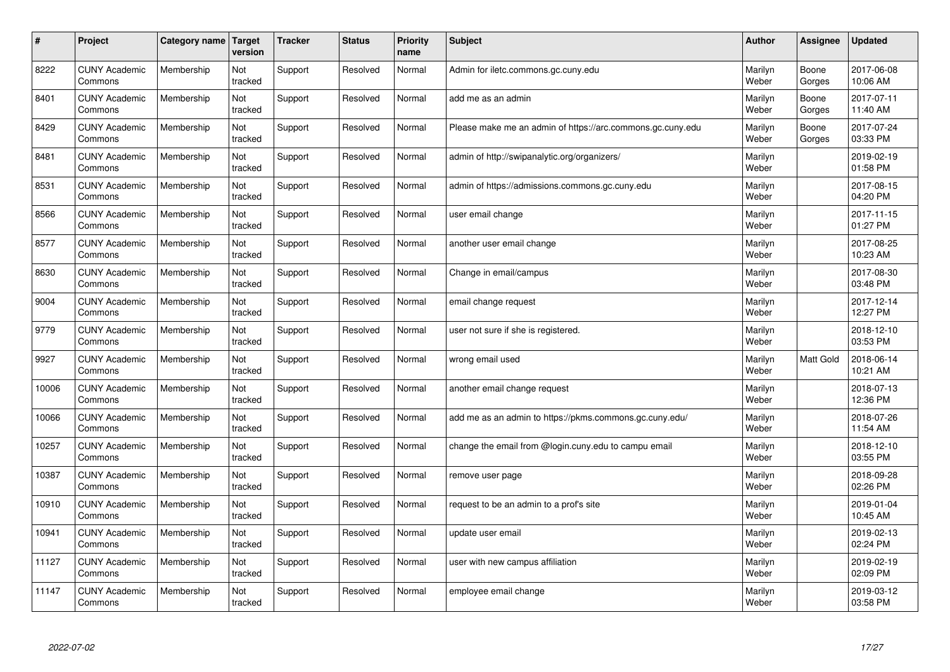| $\sharp$ | Project                         | Category name   Target | version        | <b>Tracker</b> | <b>Status</b> | <b>Priority</b><br>name | <b>Subject</b>                                             | <b>Author</b>    | Assignee         | Updated                |
|----------|---------------------------------|------------------------|----------------|----------------|---------------|-------------------------|------------------------------------------------------------|------------------|------------------|------------------------|
| 8222     | <b>CUNY Academic</b><br>Commons | Membership             | Not<br>tracked | Support        | Resolved      | Normal                  | Admin for iletc.commons.gc.cuny.edu                        | Marilyn<br>Weber | Boone<br>Gorges  | 2017-06-08<br>10:06 AM |
| 8401     | <b>CUNY Academic</b><br>Commons | Membership             | Not<br>tracked | Support        | Resolved      | Normal                  | add me as an admin                                         | Marilyn<br>Weber | Boone<br>Gorges  | 2017-07-11<br>11:40 AM |
| 8429     | <b>CUNY Academic</b><br>Commons | Membership             | Not<br>tracked | Support        | Resolved      | Normal                  | Please make me an admin of https://arc.commons.gc.cuny.edu | Marilyn<br>Weber | Boone<br>Gorges  | 2017-07-24<br>03:33 PM |
| 8481     | <b>CUNY Academic</b><br>Commons | Membership             | Not<br>tracked | Support        | Resolved      | Normal                  | admin of http://swipanalytic.org/organizers/               | Marilyn<br>Weber |                  | 2019-02-19<br>01:58 PM |
| 8531     | <b>CUNY Academic</b><br>Commons | Membership             | Not<br>tracked | Support        | Resolved      | Normal                  | admin of https://admissions.commons.gc.cuny.edu            | Marilyn<br>Weber |                  | 2017-08-15<br>04:20 PM |
| 8566     | <b>CUNY Academic</b><br>Commons | Membership             | Not<br>tracked | Support        | Resolved      | Normal                  | user email change                                          | Marilyn<br>Weber |                  | 2017-11-15<br>01:27 PM |
| 8577     | <b>CUNY Academic</b><br>Commons | Membership             | Not<br>tracked | Support        | Resolved      | Normal                  | another user email change                                  | Marilyn<br>Weber |                  | 2017-08-25<br>10:23 AM |
| 8630     | <b>CUNY Academic</b><br>Commons | Membership             | Not<br>tracked | Support        | Resolved      | Normal                  | Change in email/campus                                     | Marilyn<br>Weber |                  | 2017-08-30<br>03:48 PM |
| 9004     | <b>CUNY Academic</b><br>Commons | Membership             | Not<br>tracked | Support        | Resolved      | Normal                  | email change request                                       | Marilyn<br>Weber |                  | 2017-12-14<br>12:27 PM |
| 9779     | <b>CUNY Academic</b><br>Commons | Membership             | Not<br>tracked | Support        | Resolved      | Normal                  | user not sure if she is registered.                        | Marilyn<br>Weber |                  | 2018-12-10<br>03:53 PM |
| 9927     | <b>CUNY Academic</b><br>Commons | Membership             | Not<br>tracked | Support        | Resolved      | Normal                  | wrong email used                                           | Marilyn<br>Weber | <b>Matt Gold</b> | 2018-06-14<br>10:21 AM |
| 10006    | <b>CUNY Academic</b><br>Commons | Membership             | Not<br>tracked | Support        | Resolved      | Normal                  | another email change request                               | Marilyn<br>Weber |                  | 2018-07-13<br>12:36 PM |
| 10066    | <b>CUNY Academic</b><br>Commons | Membership             | Not<br>tracked | Support        | Resolved      | Normal                  | add me as an admin to https://pkms.commons.gc.cuny.edu/    | Marilyn<br>Weber |                  | 2018-07-26<br>11:54 AM |
| 10257    | <b>CUNY Academic</b><br>Commons | Membership             | Not<br>tracked | Support        | Resolved      | Normal                  | change the email from @login.cuny.edu to campu email       | Marilyn<br>Weber |                  | 2018-12-10<br>03:55 PM |
| 10387    | <b>CUNY Academic</b><br>Commons | Membership             | Not<br>tracked | Support        | Resolved      | Normal                  | remove user page                                           | Marilyn<br>Weber |                  | 2018-09-28<br>02:26 PM |
| 10910    | <b>CUNY Academic</b><br>Commons | Membership             | Not<br>tracked | Support        | Resolved      | Normal                  | request to be an admin to a prof's site                    | Marilyn<br>Weber |                  | 2019-01-04<br>10:45 AM |
| 10941    | <b>CUNY Academic</b><br>Commons | Membership             | Not<br>tracked | Support        | Resolved      | Normal                  | update user email                                          | Marilyn<br>Weber |                  | 2019-02-13<br>02:24 PM |
| 11127    | <b>CUNY Academic</b><br>Commons | Membership             | Not<br>tracked | Support        | Resolved      | Normal                  | user with new campus affiliation                           | Marilyn<br>Weber |                  | 2019-02-19<br>02:09 PM |
| 11147    | <b>CUNY Academic</b><br>Commons | Membership             | Not<br>tracked | Support        | Resolved      | Normal                  | employee email change                                      | Marilyn<br>Weber |                  | 2019-03-12<br>03:58 PM |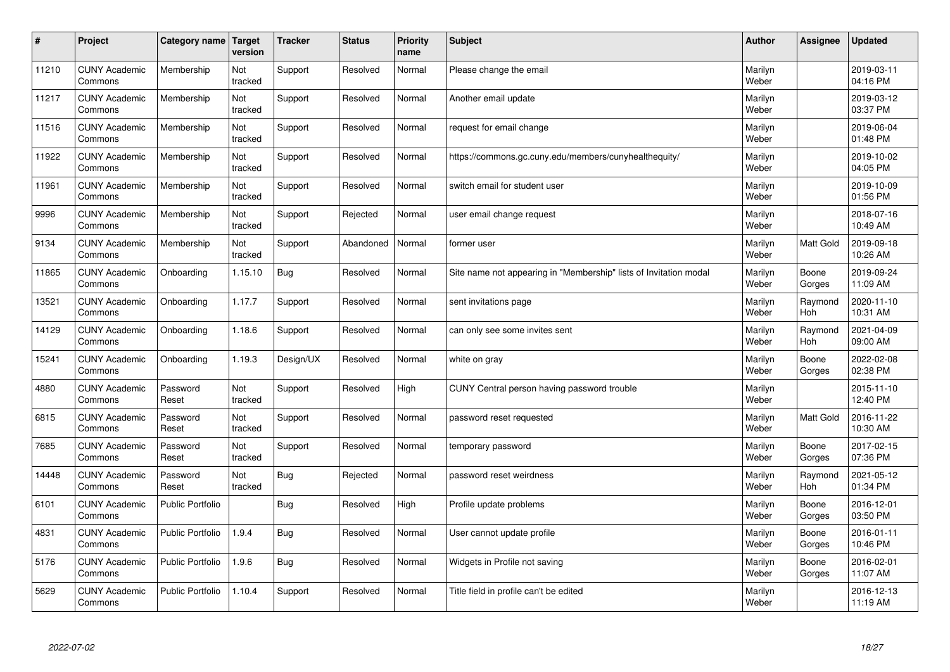| $\sharp$ | Project                         | Category name   Target  | version        | <b>Tracker</b> | <b>Status</b> | <b>Priority</b><br>name | <b>Subject</b>                                                    | <b>Author</b>    | Assignee              | <b>Updated</b>         |
|----------|---------------------------------|-------------------------|----------------|----------------|---------------|-------------------------|-------------------------------------------------------------------|------------------|-----------------------|------------------------|
| 11210    | <b>CUNY Academic</b><br>Commons | Membership              | Not<br>tracked | Support        | Resolved      | Normal                  | Please change the email                                           | Marilyn<br>Weber |                       | 2019-03-11<br>04:16 PM |
| 11217    | <b>CUNY Academic</b><br>Commons | Membership              | Not<br>tracked | Support        | Resolved      | Normal                  | Another email update                                              | Marilyn<br>Weber |                       | 2019-03-12<br>03:37 PM |
| 11516    | <b>CUNY Academic</b><br>Commons | Membership              | Not<br>tracked | Support        | Resolved      | Normal                  | request for email change                                          | Marilyn<br>Weber |                       | 2019-06-04<br>01:48 PM |
| 11922    | <b>CUNY Academic</b><br>Commons | Membership              | Not<br>tracked | Support        | Resolved      | Normal                  | https://commons.gc.cuny.edu/members/cunyhealthequity/             | Marilyn<br>Weber |                       | 2019-10-02<br>04:05 PM |
| 11961    | <b>CUNY Academic</b><br>Commons | Membership              | Not<br>tracked | Support        | Resolved      | Normal                  | switch email for student user                                     | Marilyn<br>Weber |                       | 2019-10-09<br>01:56 PM |
| 9996     | <b>CUNY Academic</b><br>Commons | Membership              | Not<br>tracked | Support        | Rejected      | Normal                  | user email change request                                         | Marilyn<br>Weber |                       | 2018-07-16<br>10:49 AM |
| 9134     | <b>CUNY Academic</b><br>Commons | Membership              | Not<br>tracked | Support        | Abandoned     | Normal                  | former user                                                       | Marilyn<br>Weber | <b>Matt Gold</b>      | 2019-09-18<br>10:26 AM |
| 11865    | <b>CUNY Academic</b><br>Commons | Onboarding              | 1.15.10        | Bug            | Resolved      | Normal                  | Site name not appearing in "Membership" lists of Invitation modal | Marilyn<br>Weber | Boone<br>Gorges       | 2019-09-24<br>11:09 AM |
| 13521    | <b>CUNY Academic</b><br>Commons | Onboarding              | 1.17.7         | Support        | Resolved      | Normal                  | sent invitations page                                             | Marilyn<br>Weber | Raymond<br>Hoh        | 2020-11-10<br>10:31 AM |
| 14129    | <b>CUNY Academic</b><br>Commons | Onboarding              | 1.18.6         | Support        | Resolved      | Normal                  | can only see some invites sent                                    | Marilyn<br>Weber | Raymond<br>Hoh        | 2021-04-09<br>09:00 AM |
| 15241    | <b>CUNY Academic</b><br>Commons | Onboarding              | 1.19.3         | Design/UX      | Resolved      | Normal                  | white on gray                                                     | Marilyn<br>Weber | Boone<br>Gorges       | 2022-02-08<br>02:38 PM |
| 4880     | <b>CUNY Academic</b><br>Commons | Password<br>Reset       | Not<br>tracked | Support        | Resolved      | High                    | CUNY Central person having password trouble                       | Marilyn<br>Weber |                       | 2015-11-10<br>12:40 PM |
| 6815     | <b>CUNY Academic</b><br>Commons | Password<br>Reset       | Not<br>tracked | Support        | Resolved      | Normal                  | password reset requested                                          | Marilyn<br>Weber | <b>Matt Gold</b>      | 2016-11-22<br>10:30 AM |
| 7685     | <b>CUNY Academic</b><br>Commons | Password<br>Reset       | Not<br>tracked | Support        | Resolved      | Normal                  | temporary password                                                | Marilyn<br>Weber | Boone<br>Gorges       | 2017-02-15<br>07:36 PM |
| 14448    | <b>CUNY Academic</b><br>Commons | Password<br>Reset       | Not<br>tracked | Bug            | Rejected      | Normal                  | password reset weirdness                                          | Marilyn<br>Weber | Raymond<br><b>Hoh</b> | 2021-05-12<br>01:34 PM |
| 6101     | <b>CUNY Academic</b><br>Commons | <b>Public Portfolio</b> |                | Bug            | Resolved      | High                    | Profile update problems                                           | Marilyn<br>Weber | Boone<br>Gorges       | 2016-12-01<br>03:50 PM |
| 4831     | <b>CUNY Academic</b><br>Commons | <b>Public Portfolio</b> | 1.9.4          | Bug            | Resolved      | Normal                  | User cannot update profile                                        | Marilyn<br>Weber | Boone<br>Gorges       | 2016-01-11<br>10:46 PM |
| 5176     | <b>CUNY Academic</b><br>Commons | <b>Public Portfolio</b> | 1.9.6          | Bug            | Resolved      | Normal                  | Widgets in Profile not saving                                     | Marilyn<br>Weber | Boone<br>Gorges       | 2016-02-01<br>11:07 AM |
| 5629     | <b>CUNY Academic</b><br>Commons | <b>Public Portfolio</b> | 1.10.4         | Support        | Resolved      | Normal                  | Title field in profile can't be edited                            | Marilyn<br>Weber |                       | 2016-12-13<br>11:19 AM |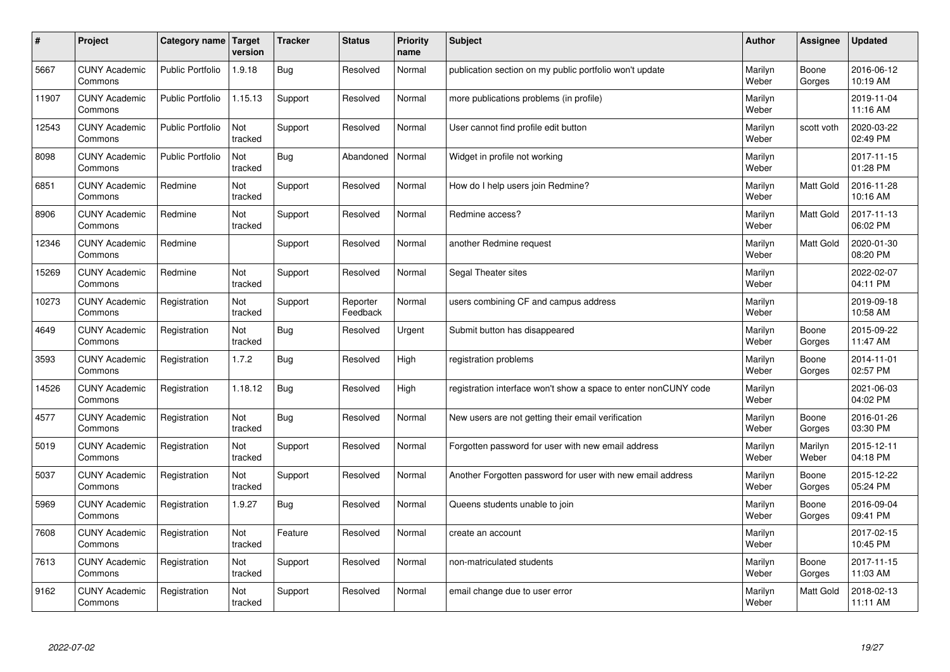| $\pmb{\#}$ | Project                         | Category name           | Target<br>version | <b>Tracker</b> | <b>Status</b>        | <b>Priority</b><br>name | <b>Subject</b>                                                  | <b>Author</b>    | Assignee         | <b>Updated</b>         |
|------------|---------------------------------|-------------------------|-------------------|----------------|----------------------|-------------------------|-----------------------------------------------------------------|------------------|------------------|------------------------|
| 5667       | <b>CUNY Academic</b><br>Commons | <b>Public Portfolio</b> | 1.9.18            | <b>Bug</b>     | Resolved             | Normal                  | publication section on my public portfolio won't update         | Marilyn<br>Weber | Boone<br>Gorges  | 2016-06-12<br>10:19 AM |
| 11907      | <b>CUNY Academic</b><br>Commons | <b>Public Portfolio</b> | 1.15.13           | Support        | Resolved             | Normal                  | more publications problems (in profile)                         | Marilyn<br>Weber |                  | 2019-11-04<br>11:16 AM |
| 12543      | <b>CUNY Academic</b><br>Commons | <b>Public Portfolio</b> | Not<br>tracked    | Support        | Resolved             | Normal                  | User cannot find profile edit button                            | Marilyn<br>Weber | scott voth       | 2020-03-22<br>02:49 PM |
| 8098       | <b>CUNY Academic</b><br>Commons | <b>Public Portfolio</b> | Not<br>tracked    | Bug            | Abandoned            | Normal                  | Widget in profile not working                                   | Marilyn<br>Weber |                  | 2017-11-15<br>01:28 PM |
| 6851       | <b>CUNY Academic</b><br>Commons | Redmine                 | Not<br>tracked    | Support        | Resolved             | Normal                  | How do I help users join Redmine?                               | Marilyn<br>Weber | Matt Gold        | 2016-11-28<br>10:16 AM |
| 8906       | <b>CUNY Academic</b><br>Commons | Redmine                 | Not<br>tracked    | Support        | Resolved             | Normal                  | Redmine access?                                                 | Marilyn<br>Weber | Matt Gold        | 2017-11-13<br>06:02 PM |
| 12346      | <b>CUNY Academic</b><br>Commons | Redmine                 |                   | Support        | Resolved             | Normal                  | another Redmine request                                         | Marilyn<br>Weber | Matt Gold        | 2020-01-30<br>08:20 PM |
| 15269      | <b>CUNY Academic</b><br>Commons | Redmine                 | Not<br>tracked    | Support        | Resolved             | Normal                  | Segal Theater sites                                             | Marilyn<br>Weber |                  | 2022-02-07<br>04:11 PM |
| 10273      | <b>CUNY Academic</b><br>Commons | Registration            | Not<br>tracked    | Support        | Reporter<br>Feedback | Normal                  | users combining CF and campus address                           | Marilyn<br>Weber |                  | 2019-09-18<br>10:58 AM |
| 4649       | <b>CUNY Academic</b><br>Commons | Registration            | Not<br>tracked    | Bug            | Resolved             | Urgent                  | Submit button has disappeared                                   | Marilyn<br>Weber | Boone<br>Gorges  | 2015-09-22<br>11:47 AM |
| 3593       | <b>CUNY Academic</b><br>Commons | Registration            | 1.7.2             | <b>Bug</b>     | Resolved             | High                    | registration problems                                           | Marilyn<br>Weber | Boone<br>Gorges  | 2014-11-01<br>02:57 PM |
| 14526      | <b>CUNY Academic</b><br>Commons | Registration            | 1.18.12           | <b>Bug</b>     | Resolved             | High                    | registration interface won't show a space to enter nonCUNY code | Marilyn<br>Weber |                  | 2021-06-03<br>04:02 PM |
| 4577       | <b>CUNY Academic</b><br>Commons | Registration            | Not<br>tracked    | Bug            | Resolved             | Normal                  | New users are not getting their email verification              | Marilyn<br>Weber | Boone<br>Gorges  | 2016-01-26<br>03:30 PM |
| 5019       | <b>CUNY Academic</b><br>Commons | Registration            | Not<br>tracked    | Support        | Resolved             | Normal                  | Forgotten password for user with new email address              | Marilyn<br>Weber | Marilyn<br>Weber | 2015-12-11<br>04:18 PM |
| 5037       | <b>CUNY Academic</b><br>Commons | Registration            | Not<br>tracked    | Support        | Resolved             | Normal                  | Another Forgotten password for user with new email address      | Marilyn<br>Weber | Boone<br>Gorges  | 2015-12-22<br>05:24 PM |
| 5969       | <b>CUNY Academic</b><br>Commons | Registration            | 1.9.27            | Bug            | Resolved             | Normal                  | Queens students unable to join                                  | Marilyn<br>Weber | Boone<br>Gorges  | 2016-09-04<br>09:41 PM |
| 7608       | <b>CUNY Academic</b><br>Commons | Registration            | Not<br>tracked    | Feature        | Resolved             | Normal                  | create an account                                               | Marilyn<br>Weber |                  | 2017-02-15<br>10:45 PM |
| 7613       | <b>CUNY Academic</b><br>Commons | Registration            | Not<br>tracked    | Support        | Resolved             | Normal                  | non-matriculated students                                       | Marilyn<br>Weber | Boone<br>Gorges  | 2017-11-15<br>11:03 AM |
| 9162       | <b>CUNY Academic</b><br>Commons | Registration            | Not<br>tracked    | Support        | Resolved             | Normal                  | email change due to user error                                  | Marilyn<br>Weber | Matt Gold        | 2018-02-13<br>11:11 AM |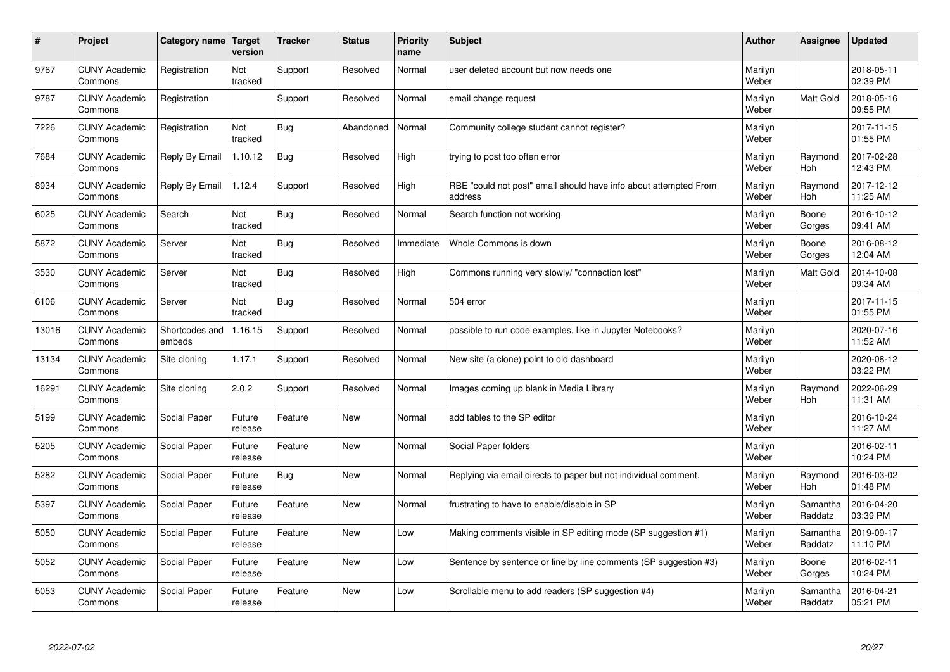| $\vert$ # | Project                         | Category name Target     | version           | <b>Tracker</b> | <b>Status</b> | <b>Priority</b><br>name | <b>Subject</b>                                                              | <b>Author</b>    | <b>Assignee</b>       | <b>Updated</b>         |
|-----------|---------------------------------|--------------------------|-------------------|----------------|---------------|-------------------------|-----------------------------------------------------------------------------|------------------|-----------------------|------------------------|
| 9767      | <b>CUNY Academic</b><br>Commons | Registration             | Not<br>tracked    | Support        | Resolved      | Normal                  | user deleted account but now needs one                                      | Marilyn<br>Weber |                       | 2018-05-11<br>02:39 PM |
| 9787      | <b>CUNY Academic</b><br>Commons | Registration             |                   | Support        | Resolved      | Normal                  | email change request                                                        | Marilyn<br>Weber | <b>Matt Gold</b>      | 2018-05-16<br>09:55 PM |
| 7226      | <b>CUNY Academic</b><br>Commons | Registration             | Not<br>tracked    | Bug            | Abandoned     | Normal                  | Community college student cannot register?                                  | Marilyn<br>Weber |                       | 2017-11-15<br>01:55 PM |
| 7684      | <b>CUNY Academic</b><br>Commons | Reply By Email           | 1.10.12           | <b>Bug</b>     | Resolved      | High                    | trying to post too often error                                              | Marilyn<br>Weber | Raymond<br><b>Hoh</b> | 2017-02-28<br>12:43 PM |
| 8934      | <b>CUNY Academic</b><br>Commons | Reply By Email           | 1.12.4            | Support        | Resolved      | High                    | RBE "could not post" email should have info about attempted From<br>address | Marilyn<br>Weber | Raymond<br>Hoh        | 2017-12-12<br>11:25 AM |
| 6025      | <b>CUNY Academic</b><br>Commons | Search                   | Not<br>tracked    | <b>Bug</b>     | Resolved      | Normal                  | Search function not working                                                 | Marilyn<br>Weber | Boone<br>Gorges       | 2016-10-12<br>09:41 AM |
| 5872      | <b>CUNY Academic</b><br>Commons | Server                   | Not<br>tracked    | <b>Bug</b>     | Resolved      | Immediate               | Whole Commons is down                                                       | Marilyn<br>Weber | Boone<br>Gorges       | 2016-08-12<br>12:04 AM |
| 3530      | <b>CUNY Academic</b><br>Commons | Server                   | Not<br>tracked    | Bug            | Resolved      | High                    | Commons running very slowly/ "connection lost"                              | Marilyn<br>Weber | Matt Gold             | 2014-10-08<br>09:34 AM |
| 6106      | <b>CUNY Academic</b><br>Commons | Server                   | Not<br>tracked    | Bug            | Resolved      | Normal                  | 504 error                                                                   | Marilyn<br>Weber |                       | 2017-11-15<br>01:55 PM |
| 13016     | <b>CUNY Academic</b><br>Commons | Shortcodes and<br>embeds | 1.16.15           | Support        | Resolved      | Normal                  | possible to run code examples, like in Jupyter Notebooks?                   | Marilyn<br>Weber |                       | 2020-07-16<br>11:52 AM |
| 13134     | <b>CUNY Academic</b><br>Commons | Site cloning             | 1.17.1            | Support        | Resolved      | Normal                  | New site (a clone) point to old dashboard                                   | Marilyn<br>Weber |                       | 2020-08-12<br>03:22 PM |
| 16291     | <b>CUNY Academic</b><br>Commons | Site cloning             | 2.0.2             | Support        | Resolved      | Normal                  | Images coming up blank in Media Library                                     | Marilyn<br>Weber | Raymond<br>Hoh        | 2022-06-29<br>11:31 AM |
| 5199      | <b>CUNY Academic</b><br>Commons | Social Paper             | Future<br>release | Feature        | <b>New</b>    | Normal                  | add tables to the SP editor                                                 | Marilyn<br>Weber |                       | 2016-10-24<br>11:27 AM |
| 5205      | <b>CUNY Academic</b><br>Commons | Social Paper             | Future<br>release | Feature        | <b>New</b>    | Normal                  | Social Paper folders                                                        | Marilyn<br>Weber |                       | 2016-02-11<br>10:24 PM |
| 5282      | <b>CUNY Academic</b><br>Commons | Social Paper             | Future<br>release | Bug            | <b>New</b>    | Normal                  | Replying via email directs to paper but not individual comment.             | Marilyn<br>Weber | Raymond<br><b>Hoh</b> | 2016-03-02<br>01:48 PM |
| 5397      | <b>CUNY Academic</b><br>Commons | Social Paper             | Future<br>release | Feature        | <b>New</b>    | Normal                  | frustrating to have to enable/disable in SP                                 | Marilyn<br>Weber | Samantha<br>Raddatz   | 2016-04-20<br>03:39 PM |
| 5050      | <b>CUNY Academic</b><br>Commons | Social Paper             | Future<br>release | Feature        | <b>New</b>    | Low                     | Making comments visible in SP editing mode (SP suggestion #1)               | Marilyn<br>Weber | Samantha<br>Raddatz   | 2019-09-17<br>11:10 PM |
| 5052      | <b>CUNY Academic</b><br>Commons | Social Paper             | Future<br>release | Feature        | <b>New</b>    | Low                     | Sentence by sentence or line by line comments (SP suggestion #3)            | Marilyn<br>Weber | Boone<br>Gorges       | 2016-02-11<br>10:24 PM |
| 5053      | <b>CUNY Academic</b><br>Commons | Social Paper             | Future<br>release | Feature        | <b>New</b>    | Low                     | Scrollable menu to add readers (SP suggestion #4)                           | Marilyn<br>Weber | Samantha<br>Raddatz   | 2016-04-21<br>05:21 PM |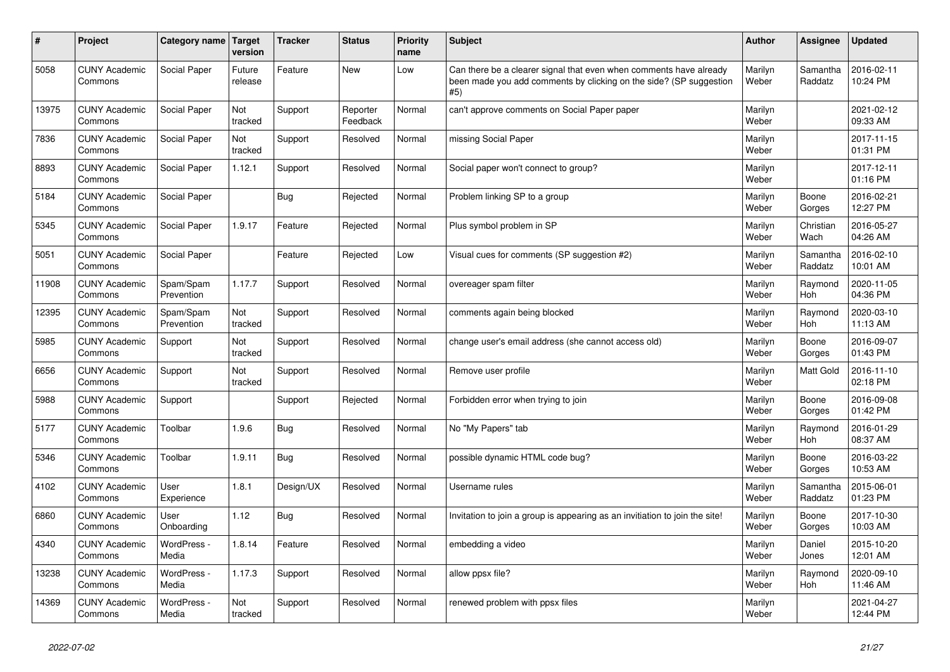| $\vert$ # | Project                         | Category name Target    | version           | <b>Tracker</b> | <b>Status</b>        | Priority<br>name | <b>Subject</b>                                                                                                                                  | Author           | Assignee            | <b>Updated</b>         |
|-----------|---------------------------------|-------------------------|-------------------|----------------|----------------------|------------------|-------------------------------------------------------------------------------------------------------------------------------------------------|------------------|---------------------|------------------------|
| 5058      | <b>CUNY Academic</b><br>Commons | Social Paper            | Future<br>release | Feature        | <b>New</b>           | Low              | Can there be a clearer signal that even when comments have already<br>been made you add comments by clicking on the side? (SP suggestion<br>#5) | Marilyn<br>Weber | Samantha<br>Raddatz | 2016-02-11<br>10:24 PM |
| 13975     | <b>CUNY Academic</b><br>Commons | Social Paper            | Not<br>tracked    | Support        | Reporter<br>Feedback | Normal           | can't approve comments on Social Paper paper                                                                                                    | Marilyn<br>Weber |                     | 2021-02-12<br>09:33 AM |
| 7836      | <b>CUNY Academic</b><br>Commons | Social Paper            | Not<br>tracked    | Support        | Resolved             | Normal           | missing Social Paper                                                                                                                            | Marilyn<br>Weber |                     | 2017-11-15<br>01:31 PM |
| 8893      | <b>CUNY Academic</b><br>Commons | Social Paper            | 1.12.1            | Support        | Resolved             | Normal           | Social paper won't connect to group?                                                                                                            | Marilyn<br>Weber |                     | 2017-12-11<br>01:16 PM |
| 5184      | <b>CUNY Academic</b><br>Commons | Social Paper            |                   | <b>Bug</b>     | Rejected             | Normal           | Problem linking SP to a group                                                                                                                   | Marilyn<br>Weber | Boone<br>Gorges     | 2016-02-21<br>12:27 PM |
| 5345      | <b>CUNY Academic</b><br>Commons | Social Paper            | 1.9.17            | Feature        | Rejected             | Normal           | Plus symbol problem in SP                                                                                                                       | Marilyn<br>Weber | Christian<br>Wach   | 2016-05-27<br>04:26 AM |
| 5051      | <b>CUNY Academic</b><br>Commons | Social Paper            |                   | Feature        | Rejected             | Low              | Visual cues for comments (SP suggestion #2)                                                                                                     | Marilyn<br>Weber | Samantha<br>Raddatz | 2016-02-10<br>10:01 AM |
| 11908     | <b>CUNY Academic</b><br>Commons | Spam/Spam<br>Prevention | 1.17.7            | Support        | Resolved             | Normal           | overeager spam filter                                                                                                                           | Marilyn<br>Weber | Raymond<br>Hoh      | 2020-11-05<br>04:36 PM |
| 12395     | <b>CUNY Academic</b><br>Commons | Spam/Spam<br>Prevention | Not<br>tracked    | Support        | Resolved             | Normal           | comments again being blocked                                                                                                                    | Marilyn<br>Weber | Raymond<br>Hoh      | 2020-03-10<br>11:13 AM |
| 5985      | <b>CUNY Academic</b><br>Commons | Support                 | Not<br>tracked    | Support        | Resolved             | Normal           | change user's email address (she cannot access old)                                                                                             | Marilyn<br>Weber | Boone<br>Gorges     | 2016-09-07<br>01:43 PM |
| 6656      | <b>CUNY Academic</b><br>Commons | Support                 | Not<br>tracked    | Support        | Resolved             | Normal           | Remove user profile                                                                                                                             | Marilyn<br>Weber | Matt Gold           | 2016-11-10<br>02:18 PM |
| 5988      | <b>CUNY Academic</b><br>Commons | Support                 |                   | Support        | Rejected             | Normal           | Forbidden error when trying to join                                                                                                             | Marilyn<br>Weber | Boone<br>Gorges     | 2016-09-08<br>01:42 PM |
| 5177      | <b>CUNY Academic</b><br>Commons | Toolbar                 | 1.9.6             | <b>Bug</b>     | Resolved             | Normal           | No "My Papers" tab                                                                                                                              | Marilyn<br>Weber | Raymond<br>Hoh      | 2016-01-29<br>08:37 AM |
| 5346      | <b>CUNY Academic</b><br>Commons | Toolbar                 | 1.9.11            | Bug            | Resolved             | Normal           | possible dynamic HTML code bug?                                                                                                                 | Marilyn<br>Weber | Boone<br>Gorges     | 2016-03-22<br>10:53 AM |
| 4102      | <b>CUNY Academic</b><br>Commons | User<br>Experience      | 1.8.1             | Design/UX      | Resolved             | Normal           | Username rules                                                                                                                                  | Marilyn<br>Weber | Samantha<br>Raddatz | 2015-06-01<br>01:23 PM |
| 6860      | <b>CUNY Academic</b><br>Commons | User<br>Onboarding      | 1.12              | Bug            | Resolved             | Normal           | Invitation to join a group is appearing as an invitiation to join the site!                                                                     | Marilyn<br>Weber | Boone<br>Gorges     | 2017-10-30<br>10:03 AM |
| 4340      | <b>CUNY Academic</b><br>Commons | WordPress -<br>Media    | 1.8.14            | Feature        | Resolved             | Normal           | embedding a video                                                                                                                               | Marilyn<br>Weber | Daniel<br>Jones     | 2015-10-20<br>12:01 AM |
| 13238     | <b>CUNY Academic</b><br>Commons | WordPress -<br>Media    | 1.17.3            | Support        | Resolved             | Normal           | allow ppsx file?                                                                                                                                | Marilyn<br>Weber | Raymond<br>Hoh      | 2020-09-10<br>11:46 AM |
| 14369     | <b>CUNY Academic</b><br>Commons | WordPress -<br>Media    | Not<br>tracked    | Support        | Resolved             | Normal           | renewed problem with ppsx files                                                                                                                 | Marilyn<br>Weber |                     | 2021-04-27<br>12:44 PM |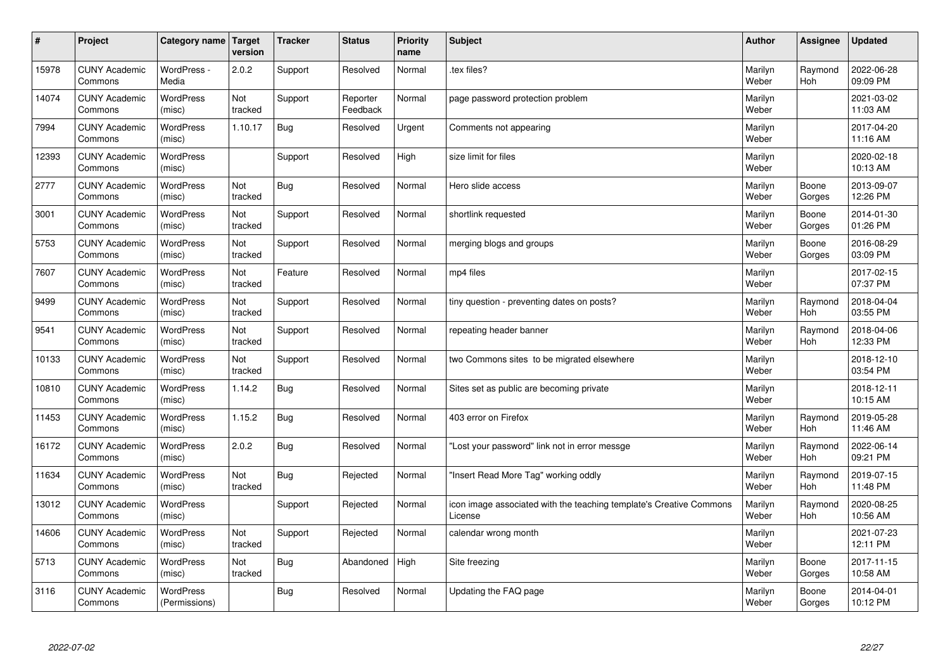| $\sharp$ | Project                         | Category name   Target            | version        | <b>Tracker</b> | <b>Status</b>        | <b>Priority</b><br>name | <b>Subject</b>                                                                 | <b>Author</b>    | Assignee              | <b>Updated</b>         |
|----------|---------------------------------|-----------------------------------|----------------|----------------|----------------------|-------------------------|--------------------------------------------------------------------------------|------------------|-----------------------|------------------------|
| 15978    | <b>CUNY Academic</b><br>Commons | WordPress -<br>Media              | 2.0.2          | Support        | Resolved             | Normal                  | tex files?                                                                     | Marilyn<br>Weber | Raymond<br><b>Hoh</b> | 2022-06-28<br>09:09 PM |
| 14074    | <b>CUNY Academic</b><br>Commons | <b>WordPress</b><br>(misc)        | Not<br>tracked | Support        | Reporter<br>Feedback | Normal                  | page password protection problem                                               | Marilyn<br>Weber |                       | 2021-03-02<br>11:03 AM |
| 7994     | <b>CUNY Academic</b><br>Commons | <b>WordPress</b><br>(misc)        | 1.10.17        | Bug            | Resolved             | Urgent                  | Comments not appearing                                                         | Marilyn<br>Weber |                       | 2017-04-20<br>11:16 AM |
| 12393    | <b>CUNY Academic</b><br>Commons | <b>WordPress</b><br>(misc)        |                | Support        | Resolved             | High                    | size limit for files                                                           | Marilyn<br>Weber |                       | 2020-02-18<br>10:13 AM |
| 2777     | <b>CUNY Academic</b><br>Commons | <b>WordPress</b><br>(misc)        | Not<br>tracked | Bug            | Resolved             | Normal                  | Hero slide access                                                              | Marilyn<br>Weber | Boone<br>Gorges       | 2013-09-07<br>12:26 PM |
| 3001     | <b>CUNY Academic</b><br>Commons | WordPress<br>(misc)               | Not<br>tracked | Support        | Resolved             | Normal                  | shortlink requested                                                            | Marilyn<br>Weber | Boone<br>Gorges       | 2014-01-30<br>01:26 PM |
| 5753     | <b>CUNY Academic</b><br>Commons | WordPress<br>(misc)               | Not<br>tracked | Support        | Resolved             | Normal                  | merging blogs and groups                                                       | Marilyn<br>Weber | Boone<br>Gorges       | 2016-08-29<br>03:09 PM |
| 7607     | <b>CUNY Academic</b><br>Commons | <b>WordPress</b><br>(misc)        | Not<br>tracked | Feature        | Resolved             | Normal                  | mp4 files                                                                      | Marilyn<br>Weber |                       | 2017-02-15<br>07:37 PM |
| 9499     | <b>CUNY Academic</b><br>Commons | <b>WordPress</b><br>(misc)        | Not<br>tracked | Support        | Resolved             | Normal                  | tiny question - preventing dates on posts?                                     | Marilyn<br>Weber | Raymond<br>Hoh        | 2018-04-04<br>03:55 PM |
| 9541     | <b>CUNY Academic</b><br>Commons | WordPress<br>(misc)               | Not<br>tracked | Support        | Resolved             | Normal                  | repeating header banner                                                        | Marilyn<br>Weber | Raymond<br>Hoh        | 2018-04-06<br>12:33 PM |
| 10133    | <b>CUNY Academic</b><br>Commons | WordPress<br>(misc)               | Not<br>tracked | Support        | Resolved             | Normal                  | two Commons sites to be migrated elsewhere                                     | Marilyn<br>Weber |                       | 2018-12-10<br>03:54 PM |
| 10810    | <b>CUNY Academic</b><br>Commons | <b>WordPress</b><br>(misc)        | 1.14.2         | <b>Bug</b>     | Resolved             | Normal                  | Sites set as public are becoming private                                       | Marilyn<br>Weber |                       | 2018-12-11<br>10:15 AM |
| 11453    | <b>CUNY Academic</b><br>Commons | WordPress<br>(misc)               | 1.15.2         | Bug            | Resolved             | Normal                  | 403 error on Firefox                                                           | Marilyn<br>Weber | Raymond<br>Hoh        | 2019-05-28<br>11:46 AM |
| 16172    | <b>CUNY Academic</b><br>Commons | WordPress<br>(misc)               | 2.0.2          | Bug            | Resolved             | Normal                  | 'Lost your password" link not in error messge                                  | Marilyn<br>Weber | Raymond<br><b>Hoh</b> | 2022-06-14<br>09:21 PM |
| 11634    | <b>CUNY Academic</b><br>Commons | <b>WordPress</b><br>(misc)        | Not<br>tracked | <b>Bug</b>     | Rejected             | Normal                  | "Insert Read More Tag" working oddly                                           | Marilyn<br>Weber | Raymond<br>Hoh        | 2019-07-15<br>11:48 PM |
| 13012    | <b>CUNY Academic</b><br>Commons | WordPress<br>(misc)               |                | Support        | Rejected             | Normal                  | icon image associated with the teaching template's Creative Commons<br>License | Marilyn<br>Weber | Raymond<br><b>Hoh</b> | 2020-08-25<br>10:56 AM |
| 14606    | <b>CUNY Academic</b><br>Commons | WordPress<br>(misc)               | Not<br>tracked | Support        | Rejected             | Normal                  | calendar wrong month                                                           | Marilyn<br>Weber |                       | 2021-07-23<br>12:11 PM |
| 5713     | <b>CUNY Academic</b><br>Commons | WordPress<br>(misc)               | Not<br>tracked | Bug            | Abandoned            | High                    | Site freezing                                                                  | Marilyn<br>Weber | Boone<br>Gorges       | 2017-11-15<br>10:58 AM |
| 3116     | <b>CUNY Academic</b><br>Commons | <b>WordPress</b><br>(Permissions) |                | Bug            | Resolved             | Normal                  | Updating the FAQ page                                                          | Marilyn<br>Weber | Boone<br>Gorges       | 2014-04-01<br>10:12 PM |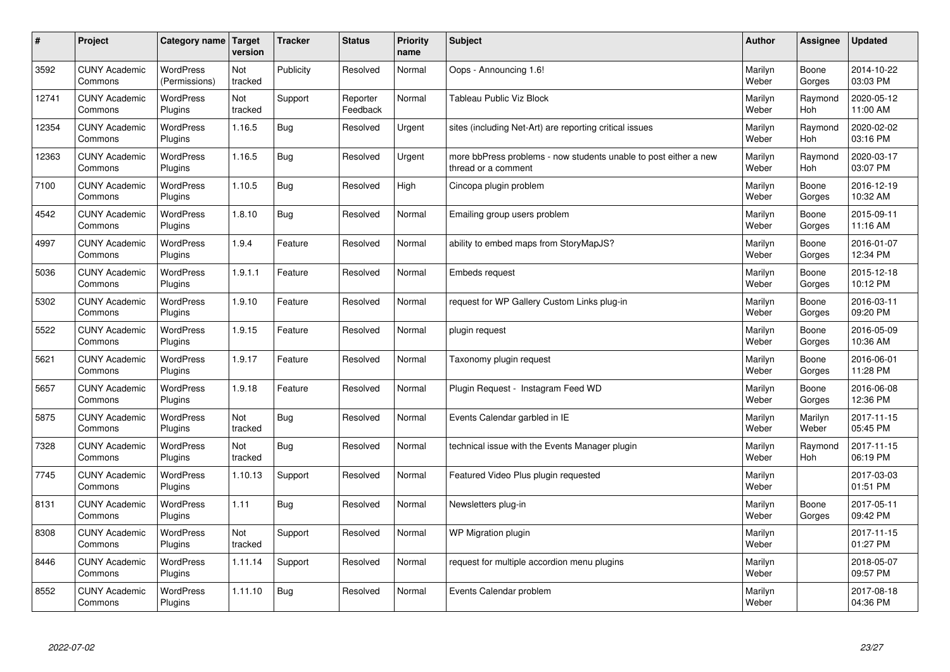| $\vert$ # | Project                         | Category name   Target            | version        | <b>Tracker</b> | <b>Status</b>        | <b>Priority</b><br>name | <b>Subject</b>                                                                          | <b>Author</b>    | Assignee              | <b>Updated</b>         |
|-----------|---------------------------------|-----------------------------------|----------------|----------------|----------------------|-------------------------|-----------------------------------------------------------------------------------------|------------------|-----------------------|------------------------|
| 3592      | <b>CUNY Academic</b><br>Commons | <b>WordPress</b><br>(Permissions) | Not<br>tracked | Publicity      | Resolved             | Normal                  | Oops - Announcing 1.6!                                                                  | Marilyn<br>Weber | Boone<br>Gorges       | 2014-10-22<br>03:03 PM |
| 12741     | <b>CUNY Academic</b><br>Commons | <b>WordPress</b><br>Plugins       | Not<br>tracked | Support        | Reporter<br>Feedback | Normal                  | Tableau Public Viz Block                                                                | Marilyn<br>Weber | Raymond<br><b>Hoh</b> | 2020-05-12<br>11:00 AM |
| 12354     | <b>CUNY Academic</b><br>Commons | <b>WordPress</b><br>Plugins       | 1.16.5         | Bug            | Resolved             | Urgent                  | sites (including Net-Art) are reporting critical issues                                 | Marilyn<br>Weber | Raymond<br><b>Hoh</b> | 2020-02-02<br>03:16 PM |
| 12363     | <b>CUNY Academic</b><br>Commons | <b>WordPress</b><br>Plugins       | 1.16.5         | Bug            | Resolved             | Urgent                  | more bbPress problems - now students unable to post either a new<br>thread or a comment | Marilyn<br>Weber | Raymond<br><b>Hoh</b> | 2020-03-17<br>03:07 PM |
| 7100      | <b>CUNY Academic</b><br>Commons | <b>WordPress</b><br>Plugins       | 1.10.5         | Bug            | Resolved             | High                    | Cincopa plugin problem                                                                  | Marilyn<br>Weber | Boone<br>Gorges       | 2016-12-19<br>10:32 AM |
| 4542      | <b>CUNY Academic</b><br>Commons | WordPress<br>Plugins              | 1.8.10         | Bug            | Resolved             | Normal                  | Emailing group users problem                                                            | Marilyn<br>Weber | Boone<br>Gorges       | 2015-09-11<br>11:16 AM |
| 4997      | <b>CUNY Academic</b><br>Commons | <b>WordPress</b><br>Plugins       | 1.9.4          | Feature        | Resolved             | Normal                  | ability to embed maps from StoryMapJS?                                                  | Marilyn<br>Weber | Boone<br>Gorges       | 2016-01-07<br>12:34 PM |
| 5036      | <b>CUNY Academic</b><br>Commons | WordPress<br>Plugins              | 1.9.1.1        | Feature        | Resolved             | Normal                  | <b>Embeds request</b>                                                                   | Marilyn<br>Weber | Boone<br>Gorges       | 2015-12-18<br>10:12 PM |
| 5302      | <b>CUNY Academic</b><br>Commons | <b>WordPress</b><br>Plugins       | 1.9.10         | Feature        | Resolved             | Normal                  | request for WP Gallery Custom Links plug-in                                             | Marilyn<br>Weber | Boone<br>Gorges       | 2016-03-11<br>09:20 PM |
| 5522      | <b>CUNY Academic</b><br>Commons | WordPress<br>Plugins              | 1.9.15         | Feature        | Resolved             | Normal                  | plugin request                                                                          | Marilyn<br>Weber | Boone<br>Gorges       | 2016-05-09<br>10:36 AM |
| 5621      | <b>CUNY Academic</b><br>Commons | WordPress<br>Plugins              | 1.9.17         | Feature        | Resolved             | Normal                  | Taxonomy plugin request                                                                 | Marilyn<br>Weber | Boone<br>Gorges       | 2016-06-01<br>11:28 PM |
| 5657      | <b>CUNY Academic</b><br>Commons | <b>WordPress</b><br>Plugins       | 1.9.18         | Feature        | Resolved             | Normal                  | Plugin Request - Instagram Feed WD                                                      | Marilyn<br>Weber | Boone<br>Gorges       | 2016-06-08<br>12:36 PM |
| 5875      | <b>CUNY Academic</b><br>Commons | <b>WordPress</b><br>Plugins       | Not<br>tracked | Bug            | Resolved             | Normal                  | Events Calendar garbled in IE                                                           | Marilyn<br>Weber | Marilyn<br>Weber      | 2017-11-15<br>05:45 PM |
| 7328      | <b>CUNY Academic</b><br>Commons | <b>WordPress</b><br>Plugins       | Not<br>tracked | Bug            | Resolved             | Normal                  | technical issue with the Events Manager plugin                                          | Marilyn<br>Weber | Raymond<br><b>Hoh</b> | 2017-11-15<br>06:19 PM |
| 7745      | <b>CUNY Academic</b><br>Commons | <b>WordPress</b><br>Plugins       | 1.10.13        | Support        | Resolved             | Normal                  | Featured Video Plus plugin requested                                                    | Marilyn<br>Weber |                       | 2017-03-03<br>01:51 PM |
| 8131      | <b>CUNY Academic</b><br>Commons | <b>WordPress</b><br>Plugins       | 1.11           | Bug            | Resolved             | Normal                  | Newsletters plug-in                                                                     | Marilyn<br>Weber | Boone<br>Gorges       | 2017-05-11<br>09:42 PM |
| 8308      | <b>CUNY Academic</b><br>Commons | WordPress<br>Plugins              | Not<br>tracked | Support        | Resolved             | Normal                  | WP Migration plugin                                                                     | Marilyn<br>Weber |                       | 2017-11-15<br>01:27 PM |
| 8446      | <b>CUNY Academic</b><br>Commons | WordPress<br>Plugins              | 1.11.14        | Support        | Resolved             | Normal                  | request for multiple accordion menu plugins                                             | Marilyn<br>Weber |                       | 2018-05-07<br>09:57 PM |
| 8552      | <b>CUNY Academic</b><br>Commons | WordPress<br>Plugins              | 1.11.10        | Bug            | Resolved             | Normal                  | Events Calendar problem                                                                 | Marilyn<br>Weber |                       | 2017-08-18<br>04:36 PM |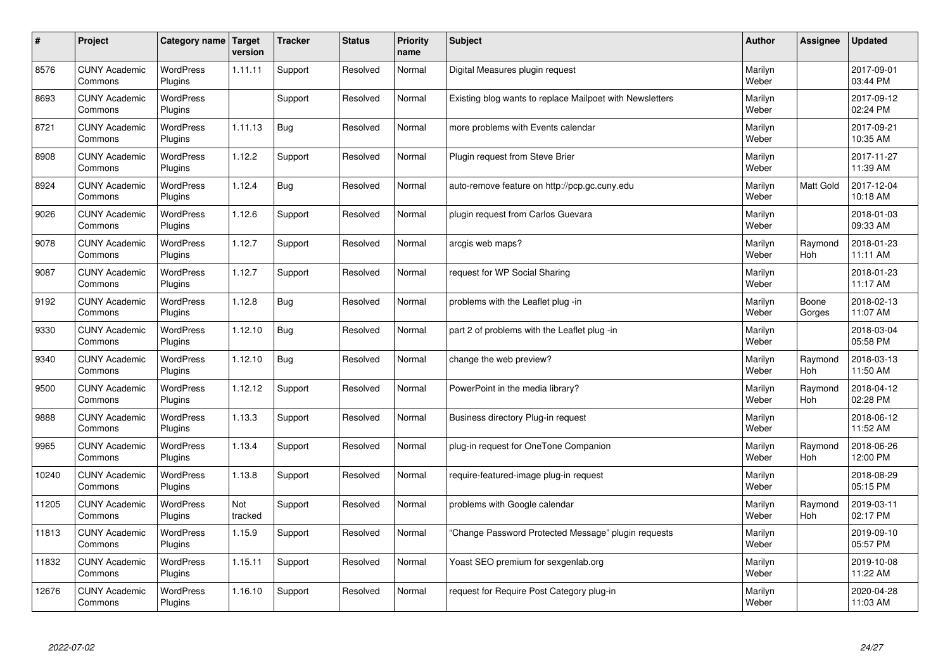| $\sharp$ | Project                         | Category name   Target      | version        | <b>Tracker</b> | <b>Status</b> | <b>Priority</b><br>name | <b>Subject</b>                                           | <b>Author</b>    | Assignee              | <b>Updated</b>         |
|----------|---------------------------------|-----------------------------|----------------|----------------|---------------|-------------------------|----------------------------------------------------------|------------------|-----------------------|------------------------|
| 8576     | <b>CUNY Academic</b><br>Commons | <b>WordPress</b><br>Plugins | 1.11.11        | Support        | Resolved      | Normal                  | Digital Measures plugin request                          | Marilyn<br>Weber |                       | 2017-09-01<br>03:44 PM |
| 8693     | <b>CUNY Academic</b><br>Commons | <b>WordPress</b><br>Plugins |                | Support        | Resolved      | Normal                  | Existing blog wants to replace Mailpoet with Newsletters | Marilyn<br>Weber |                       | 2017-09-12<br>02:24 PM |
| 8721     | <b>CUNY Academic</b><br>Commons | <b>WordPress</b><br>Plugins | 1.11.13        | Bug            | Resolved      | Normal                  | more problems with Events calendar                       | Marilyn<br>Weber |                       | 2017-09-21<br>10:35 AM |
| 8908     | <b>CUNY Academic</b><br>Commons | <b>WordPress</b><br>Plugins | 1.12.2         | Support        | Resolved      | Normal                  | Plugin request from Steve Brier                          | Marilyn<br>Weber |                       | 2017-11-27<br>11:39 AM |
| 8924     | <b>CUNY Academic</b><br>Commons | <b>WordPress</b><br>Plugins | 1.12.4         | <b>Bug</b>     | Resolved      | Normal                  | auto-remove feature on http://pcp.gc.cuny.edu            | Marilyn<br>Weber | <b>Matt Gold</b>      | 2017-12-04<br>10:18 AM |
| 9026     | <b>CUNY Academic</b><br>Commons | <b>WordPress</b><br>Plugins | 1.12.6         | Support        | Resolved      | Normal                  | plugin request from Carlos Guevara                       | Marilyn<br>Weber |                       | 2018-01-03<br>09:33 AM |
| 9078     | <b>CUNY Academic</b><br>Commons | <b>WordPress</b><br>Plugins | 1.12.7         | Support        | Resolved      | Normal                  | arcgis web maps?                                         | Marilyn<br>Weber | Raymond<br>Hoh        | 2018-01-23<br>11:11 AM |
| 9087     | <b>CUNY Academic</b><br>Commons | WordPress<br>Plugins        | 1.12.7         | Support        | Resolved      | Normal                  | request for WP Social Sharing                            | Marilyn<br>Weber |                       | 2018-01-23<br>11:17 AM |
| 9192     | <b>CUNY Academic</b><br>Commons | WordPress<br>Plugins        | 1.12.8         | <b>Bug</b>     | Resolved      | Normal                  | problems with the Leaflet plug -in                       | Marilyn<br>Weber | Boone<br>Gorges       | 2018-02-13<br>11:07 AM |
| 9330     | <b>CUNY Academic</b><br>Commons | WordPress<br>Plugins        | 1.12.10        | Bug            | Resolved      | Normal                  | part 2 of problems with the Leaflet plug -in             | Marilyn<br>Weber |                       | 2018-03-04<br>05:58 PM |
| 9340     | <b>CUNY Academic</b><br>Commons | <b>WordPress</b><br>Plugins | 1.12.10        | Bug            | Resolved      | Normal                  | change the web preview?                                  | Marilyn<br>Weber | Raymond<br><b>Hoh</b> | 2018-03-13<br>11:50 AM |
| 9500     | <b>CUNY Academic</b><br>Commons | <b>WordPress</b><br>Plugins | 1.12.12        | Support        | Resolved      | Normal                  | PowerPoint in the media library?                         | Marilyn<br>Weber | Raymond<br><b>Hoh</b> | 2018-04-12<br>02:28 PM |
| 9888     | <b>CUNY Academic</b><br>Commons | <b>WordPress</b><br>Plugins | 1.13.3         | Support        | Resolved      | Normal                  | Business directory Plug-in request                       | Marilyn<br>Weber |                       | 2018-06-12<br>11:52 AM |
| 9965     | <b>CUNY Academic</b><br>Commons | WordPress<br>Plugins        | 1.13.4         | Support        | Resolved      | Normal                  | plug-in request for OneTone Companion                    | Marilyn<br>Weber | Raymond<br><b>Hoh</b> | 2018-06-26<br>12:00 PM |
| 10240    | <b>CUNY Academic</b><br>Commons | WordPress<br>Plugins        | 1.13.8         | Support        | Resolved      | Normal                  | require-featured-image plug-in request                   | Marilyn<br>Weber |                       | 2018-08-29<br>05:15 PM |
| 11205    | <b>CUNY Academic</b><br>Commons | <b>WordPress</b><br>Plugins | Not<br>tracked | Support        | Resolved      | Normal                  | problems with Google calendar                            | Marilyn<br>Weber | Raymond<br><b>Hoh</b> | 2019-03-11<br>02:17 PM |
| 11813    | <b>CUNY Academic</b><br>Commons | WordPress<br>Plugins        | 1.15.9         | Support        | Resolved      | Normal                  | 'Change Password Protected Message" plugin requests      | Marilyn<br>Weber |                       | 2019-09-10<br>05:57 PM |
| 11832    | <b>CUNY Academic</b><br>Commons | WordPress<br>Plugins        | 1.15.11        | Support        | Resolved      | Normal                  | Yoast SEO premium for sexgenlab.org                      | Marilyn<br>Weber |                       | 2019-10-08<br>11:22 AM |
| 12676    | <b>CUNY Academic</b><br>Commons | WordPress<br>Plugins        | 1.16.10        | Support        | Resolved      | Normal                  | request for Require Post Category plug-in                | Marilyn<br>Weber |                       | 2020-04-28<br>11:03 AM |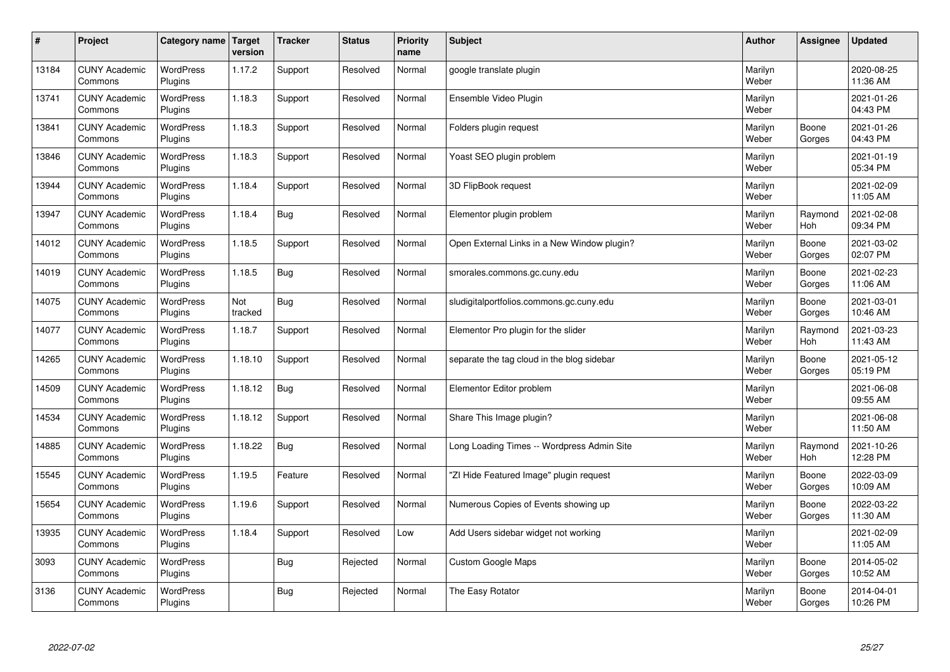| $\sharp$ | Project                         | Category name   Target      | version        | <b>Tracker</b> | <b>Status</b> | <b>Priority</b><br>name | <b>Subject</b>                              | <b>Author</b>    | Assignee              | <b>Updated</b>         |
|----------|---------------------------------|-----------------------------|----------------|----------------|---------------|-------------------------|---------------------------------------------|------------------|-----------------------|------------------------|
| 13184    | <b>CUNY Academic</b><br>Commons | <b>WordPress</b><br>Plugins | 1.17.2         | Support        | Resolved      | Normal                  | google translate plugin                     | Marilyn<br>Weber |                       | 2020-08-25<br>11:36 AM |
| 13741    | <b>CUNY Academic</b><br>Commons | <b>WordPress</b><br>Plugins | 1.18.3         | Support        | Resolved      | Normal                  | Ensemble Video Plugin                       | Marilyn<br>Weber |                       | 2021-01-26<br>04:43 PM |
| 13841    | <b>CUNY Academic</b><br>Commons | <b>WordPress</b><br>Plugins | 1.18.3         | Support        | Resolved      | Normal                  | Folders plugin request                      | Marilyn<br>Weber | Boone<br>Gorges       | 2021-01-26<br>04:43 PM |
| 13846    | <b>CUNY Academic</b><br>Commons | <b>WordPress</b><br>Plugins | 1.18.3         | Support        | Resolved      | Normal                  | Yoast SEO plugin problem                    | Marilyn<br>Weber |                       | 2021-01-19<br>05:34 PM |
| 13944    | <b>CUNY Academic</b><br>Commons | <b>WordPress</b><br>Plugins | 1.18.4         | Support        | Resolved      | Normal                  | 3D FlipBook request                         | Marilyn<br>Weber |                       | 2021-02-09<br>11:05 AM |
| 13947    | <b>CUNY Academic</b><br>Commons | WordPress<br>Plugins        | 1.18.4         | Bug            | Resolved      | Normal                  | Elementor plugin problem                    | Marilyn<br>Weber | Raymond<br><b>Hoh</b> | 2021-02-08<br>09:34 PM |
| 14012    | <b>CUNY Academic</b><br>Commons | WordPress<br>Plugins        | 1.18.5         | Support        | Resolved      | Normal                  | Open External Links in a New Window plugin? | Marilyn<br>Weber | Boone<br>Gorges       | 2021-03-02<br>02:07 PM |
| 14019    | <b>CUNY Academic</b><br>Commons | WordPress<br>Plugins        | 1.18.5         | Bug            | Resolved      | Normal                  | smorales.commons.gc.cuny.edu                | Marilyn<br>Weber | Boone<br>Gorges       | 2021-02-23<br>11:06 AM |
| 14075    | <b>CUNY Academic</b><br>Commons | <b>WordPress</b><br>Plugins | Not<br>tracked | Bug            | Resolved      | Normal                  | sludigitalportfolios.commons.gc.cuny.edu    | Marilyn<br>Weber | Boone<br>Gorges       | 2021-03-01<br>10:46 AM |
| 14077    | <b>CUNY Academic</b><br>Commons | WordPress<br>Plugins        | 1.18.7         | Support        | Resolved      | Normal                  | Elementor Pro plugin for the slider         | Marilyn<br>Weber | Raymond<br>Hoh        | 2021-03-23<br>11:43 AM |
| 14265    | <b>CUNY Academic</b><br>Commons | WordPress<br>Plugins        | 1.18.10        | Support        | Resolved      | Normal                  | separate the tag cloud in the blog sidebar  | Marilyn<br>Weber | Boone<br>Gorges       | 2021-05-12<br>05:19 PM |
| 14509    | <b>CUNY Academic</b><br>Commons | <b>WordPress</b><br>Plugins | 1.18.12        | <b>Bug</b>     | Resolved      | Normal                  | Elementor Editor problem                    | Marilyn<br>Weber |                       | 2021-06-08<br>09:55 AM |
| 14534    | <b>CUNY Academic</b><br>Commons | WordPress<br>Plugins        | 1.18.12        | Support        | Resolved      | Normal                  | Share This Image plugin?                    | Marilyn<br>Weber |                       | 2021-06-08<br>11:50 AM |
| 14885    | <b>CUNY Academic</b><br>Commons | WordPress<br>Plugins        | 1.18.22        | Bug            | Resolved      | Normal                  | Long Loading Times -- Wordpress Admin Site  | Marilyn<br>Weber | Raymond<br><b>Hoh</b> | 2021-10-26<br>12:28 PM |
| 15545    | <b>CUNY Academic</b><br>Commons | <b>WordPress</b><br>Plugins | 1.19.5         | Feature        | Resolved      | Normal                  | "ZI Hide Featured Image" plugin request     | Marilyn<br>Weber | Boone<br>Gorges       | 2022-03-09<br>10:09 AM |
| 15654    | <b>CUNY Academic</b><br>Commons | <b>WordPress</b><br>Plugins | 1.19.6         | Support        | Resolved      | Normal                  | Numerous Copies of Events showing up        | Marilyn<br>Weber | Boone<br>Gorges       | 2022-03-22<br>11:30 AM |
| 13935    | <b>CUNY Academic</b><br>Commons | WordPress<br>Plugins        | 1.18.4         | Support        | Resolved      | Low                     | Add Users sidebar widget not working        | Marilyn<br>Weber |                       | 2021-02-09<br>11:05 AM |
| 3093     | <b>CUNY Academic</b><br>Commons | WordPress<br>Plugins        |                | Bug            | Rejected      | Normal                  | Custom Google Maps                          | Marilyn<br>Weber | Boone<br>Gorges       | 2014-05-02<br>10:52 AM |
| 3136     | <b>CUNY Academic</b><br>Commons | <b>WordPress</b><br>Plugins |                | <b>Bug</b>     | Rejected      | Normal                  | The Easy Rotator                            | Marilyn<br>Weber | Boone<br>Gorges       | 2014-04-01<br>10:26 PM |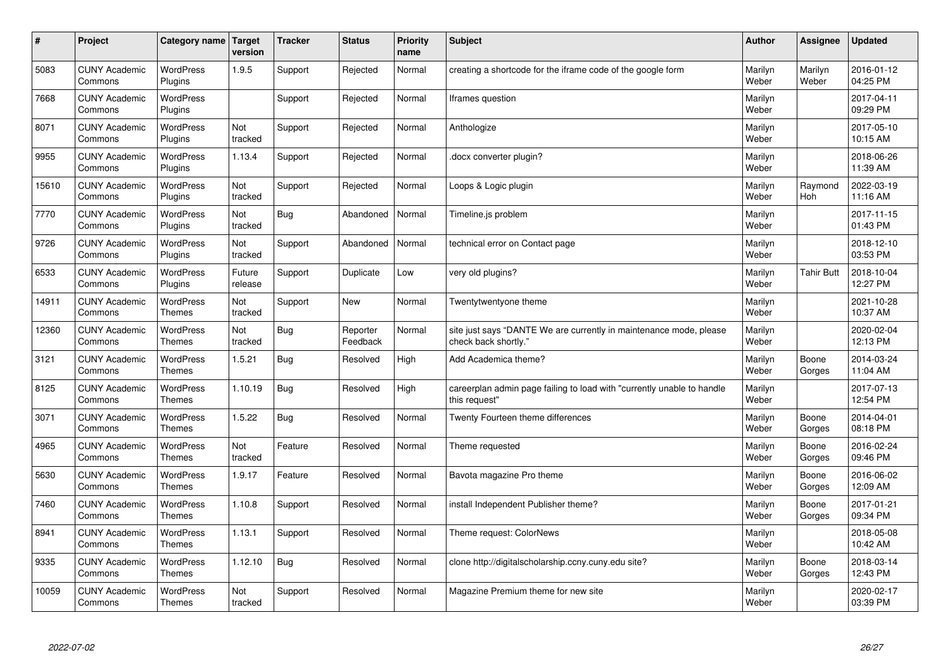| $\sharp$ | Project                         | Category name   Target            | version           | <b>Tracker</b> | <b>Status</b>        | <b>Priority</b><br>name | <b>Subject</b>                                                                             | <b>Author</b>    | Assignee          | <b>Updated</b>         |
|----------|---------------------------------|-----------------------------------|-------------------|----------------|----------------------|-------------------------|--------------------------------------------------------------------------------------------|------------------|-------------------|------------------------|
| 5083     | <b>CUNY Academic</b><br>Commons | <b>WordPress</b><br>Plugins       | 1.9.5             | Support        | Rejected             | Normal                  | creating a shortcode for the iframe code of the google form                                | Marilyn<br>Weber | Marilyn<br>Weber  | 2016-01-12<br>04:25 PM |
| 7668     | <b>CUNY Academic</b><br>Commons | <b>WordPress</b><br>Plugins       |                   | Support        | Rejected             | Normal                  | Iframes question                                                                           | Marilyn<br>Weber |                   | 2017-04-11<br>09:29 PM |
| 8071     | <b>CUNY Academic</b><br>Commons | <b>WordPress</b><br>Plugins       | Not<br>tracked    | Support        | Rejected             | Normal                  | Anthologize                                                                                | Marilyn<br>Weber |                   | 2017-05-10<br>10:15 AM |
| 9955     | <b>CUNY Academic</b><br>Commons | <b>WordPress</b><br>Plugins       | 1.13.4            | Support        | Rejected             | Normal                  | docx converter plugin?                                                                     | Marilyn<br>Weber |                   | 2018-06-26<br>11:39 AM |
| 15610    | <b>CUNY Academic</b><br>Commons | <b>WordPress</b><br>Plugins       | Not<br>tracked    | Support        | Rejected             | Normal                  | Loops & Logic plugin                                                                       | Marilyn<br>Weber | Raymond<br>Hoh    | 2022-03-19<br>11:16 AM |
| 7770     | <b>CUNY Academic</b><br>Commons | WordPress<br>Plugins              | Not<br>tracked    | Bug            | Abandoned            | Normal                  | Timeline.js problem                                                                        | Marilyn<br>Weber |                   | 2017-11-15<br>01:43 PM |
| 9726     | <b>CUNY Academic</b><br>Commons | <b>WordPress</b><br>Plugins       | Not<br>tracked    | Support        | Abandoned            | Normal                  | technical error on Contact page                                                            | Marilyn<br>Weber |                   | 2018-12-10<br>03:53 PM |
| 6533     | <b>CUNY Academic</b><br>Commons | <b>WordPress</b><br>Plugins       | Future<br>release | Support        | Duplicate            | Low                     | very old plugins?                                                                          | Marilyn<br>Weber | <b>Tahir Butt</b> | 2018-10-04<br>12:27 PM |
| 14911    | <b>CUNY Academic</b><br>Commons | <b>WordPress</b><br><b>Themes</b> | Not<br>tracked    | Support        | <b>New</b>           | Normal                  | Twentytwentyone theme                                                                      | Marilyn<br>Weber |                   | 2021-10-28<br>10:37 AM |
| 12360    | <b>CUNY Academic</b><br>Commons | WordPress<br><b>Themes</b>        | Not<br>tracked    | Bug            | Reporter<br>Feedback | Normal                  | site just says "DANTE We are currently in maintenance mode, please<br>check back shortly." | Marilyn<br>Weber |                   | 2020-02-04<br>12:13 PM |
| 3121     | <b>CUNY Academic</b><br>Commons | <b>WordPress</b><br><b>Themes</b> | 1.5.21            | <b>Bug</b>     | Resolved             | High                    | Add Academica theme?                                                                       | Marilyn<br>Weber | Boone<br>Gorges   | 2014-03-24<br>11:04 AM |
| 8125     | <b>CUNY Academic</b><br>Commons | <b>WordPress</b><br><b>Themes</b> | 1.10.19           | Bug            | Resolved             | High                    | careerplan admin page failing to load with "currently unable to handle<br>this request"    | Marilyn<br>Weber |                   | 2017-07-13<br>12:54 PM |
| 3071     | <b>CUNY Academic</b><br>Commons | <b>WordPress</b><br><b>Themes</b> | 1.5.22            | Bug            | Resolved             | Normal                  | Twenty Fourteen theme differences                                                          | Marilyn<br>Weber | Boone<br>Gorges   | 2014-04-01<br>08:18 PM |
| 4965     | <b>CUNY Academic</b><br>Commons | <b>WordPress</b><br><b>Themes</b> | Not<br>tracked    | Feature        | Resolved             | Normal                  | Theme requested                                                                            | Marilyn<br>Weber | Boone<br>Gorges   | 2016-02-24<br>09:46 PM |
| 5630     | <b>CUNY Academic</b><br>Commons | <b>WordPress</b><br><b>Themes</b> | 1.9.17            | Feature        | Resolved             | Normal                  | Bavota magazine Pro theme                                                                  | Marilyn<br>Weber | Boone<br>Gorges   | 2016-06-02<br>12:09 AM |
| 7460     | <b>CUNY Academic</b><br>Commons | <b>WordPress</b><br><b>Themes</b> | 1.10.8            | Support        | Resolved             | Normal                  | install Independent Publisher theme?                                                       | Marilyn<br>Weber | Boone<br>Gorges   | 2017-01-21<br>09:34 PM |
| 8941     | <b>CUNY Academic</b><br>Commons | WordPress<br>Themes               | 1.13.1            | Support        | Resolved             | Normal                  | Theme request: ColorNews                                                                   | Marilyn<br>Weber |                   | 2018-05-08<br>10:42 AM |
| 9335     | <b>CUNY Academic</b><br>Commons | WordPress<br><b>Themes</b>        | 1.12.10           | Bug            | Resolved             | Normal                  | clone http://digitalscholarship.ccny.cuny.edu site?                                        | Marilyn<br>Weber | Boone<br>Gorges   | 2018-03-14<br>12:43 PM |
| 10059    | <b>CUNY Academic</b><br>Commons | <b>WordPress</b><br><b>Themes</b> | Not<br>tracked    | Support        | Resolved             | Normal                  | Magazine Premium theme for new site                                                        | Marilyn<br>Weber |                   | 2020-02-17<br>03:39 PM |